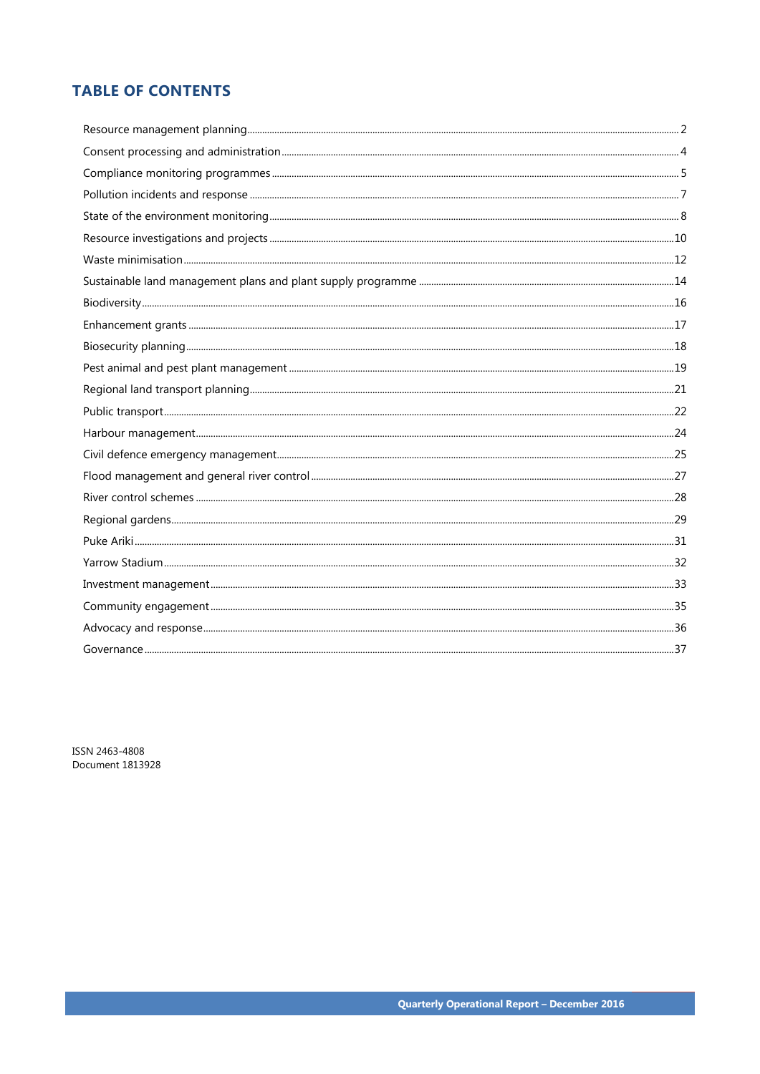# **TABLE OF CONTENTS**

ISSN 2463-4808 Document 1813928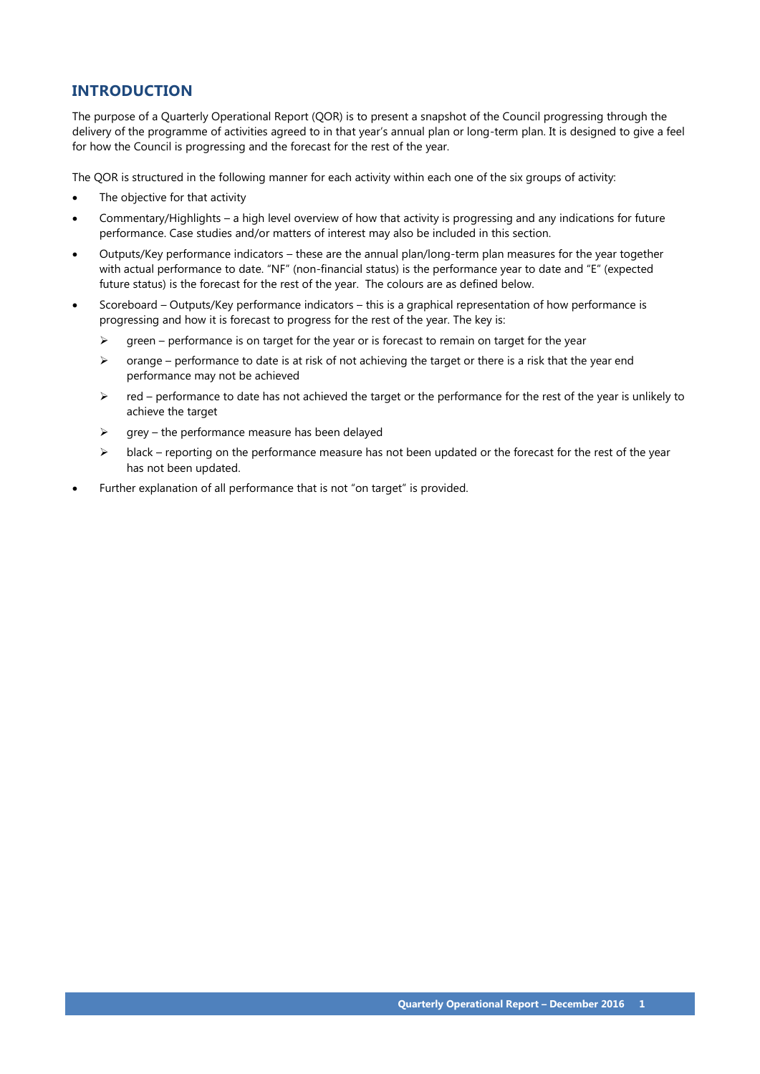# **INTRODUCTION**

The purpose of a Quarterly Operational Report (QOR) is to present a snapshot of the Council progressing through the delivery of the programme of activities agreed to in that year's annual plan or long-term plan. It is designed to give a feel for how the Council is progressing and the forecast for the rest of the year.

The QOR is structured in the following manner for each activity within each one of the six groups of activity:

- The objective for that activity
- Commentary/Highlights a high level overview of how that activity is progressing and any indications for future performance. Case studies and/or matters of interest may also be included in this section.
- Outputs/Key performance indicators these are the annual plan/long-term plan measures for the year together with actual performance to date. "NF" (non-financial status) is the performance year to date and "E" (expected future status) is the forecast for the rest of the year. The colours are as defined below.
- Scoreboard Outputs/Key performance indicators this is a graphical representation of how performance is progressing and how it is forecast to progress for the rest of the year. The key is:
	- $\triangleright$  green performance is on target for the year or is forecast to remain on target for the year
	- $\triangleright$  orange performance to date is at risk of not achieving the target or there is a risk that the year end performance may not be achieved
	- $\triangleright$  red performance to date has not achieved the target or the performance for the rest of the year is unlikely to achieve the target
	- $\triangleright$  grey the performance measure has been delayed
	- $\triangleright$  black reporting on the performance measure has not been updated or the forecast for the rest of the year has not been updated.
- Further explanation of all performance that is not "on target" is provided.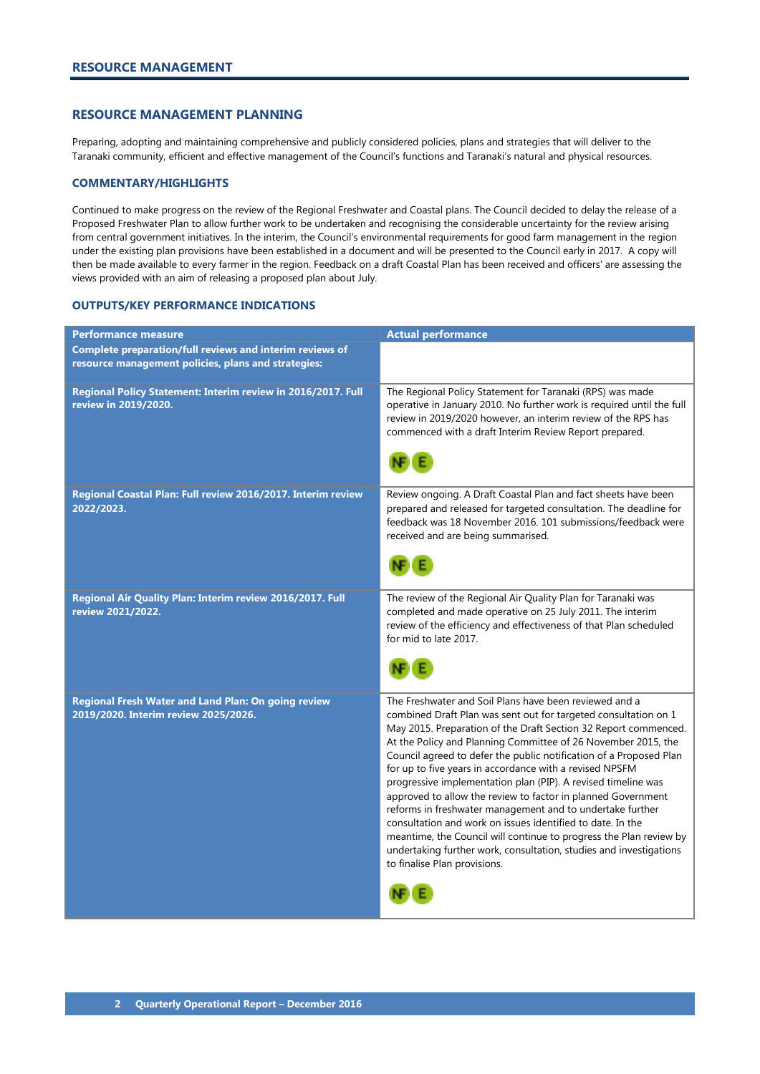# <span id="page-3-0"></span>**RESOURCE MANAGEMENT PLANNING**

Preparing, adopting and maintaining comprehensive and publicly considered policies, plans and strategies that will deliver to the Taranaki community, efficient and effective management of the Council's functions and Taranaki's natural and physical resources.

# **COMMENTARY/HIGHLIGHTS**

Continued to make progress on the review of the Regional Freshwater and Coastal plans. The Council decided to delay the release of a Proposed Freshwater Plan to allow further work to be undertaken and recognising the considerable uncertainty for the review arising from central government initiatives. In the interim, the Council's environmental requirements for good farm management in the region under the existing plan provisions have been established in a document and will be presented to the Council early in 2017. A copy will then be made available to every farmer in the region. Feedback on a draft Coastal Plan has been received and officers' are assessing the views provided with an aim of releasing a proposed plan about July.

| <b>Performance measure</b>                                                                  | <b>Actual performance</b>                                                                                                                                                                                                                                                                                                                                                                                                                                                                                                                                                                                                                                                                                                                                                                                                              |
|---------------------------------------------------------------------------------------------|----------------------------------------------------------------------------------------------------------------------------------------------------------------------------------------------------------------------------------------------------------------------------------------------------------------------------------------------------------------------------------------------------------------------------------------------------------------------------------------------------------------------------------------------------------------------------------------------------------------------------------------------------------------------------------------------------------------------------------------------------------------------------------------------------------------------------------------|
| Complete preparation/full reviews and interim reviews of                                    |                                                                                                                                                                                                                                                                                                                                                                                                                                                                                                                                                                                                                                                                                                                                                                                                                                        |
| resource management policies, plans and strategies:                                         |                                                                                                                                                                                                                                                                                                                                                                                                                                                                                                                                                                                                                                                                                                                                                                                                                                        |
| Regional Policy Statement: Interim review in 2016/2017. Full<br>review in 2019/2020.        | The Regional Policy Statement for Taranaki (RPS) was made<br>operative in January 2010. No further work is required until the full<br>review in 2019/2020 however, an interim review of the RPS has<br>commenced with a draft Interim Review Report prepared.                                                                                                                                                                                                                                                                                                                                                                                                                                                                                                                                                                          |
| Regional Coastal Plan: Full review 2016/2017. Interim review<br>2022/2023.                  | Review ongoing. A Draft Coastal Plan and fact sheets have been<br>prepared and released for targeted consultation. The deadline for<br>feedback was 18 November 2016. 101 submissions/feedback were<br>received and are being summarised.                                                                                                                                                                                                                                                                                                                                                                                                                                                                                                                                                                                              |
| Regional Air Quality Plan: Interim review 2016/2017. Full<br>review 2021/2022.              | The review of the Regional Air Quality Plan for Taranaki was<br>completed and made operative on 25 July 2011. The interim<br>review of the efficiency and effectiveness of that Plan scheduled<br>for mid to late 2017.                                                                                                                                                                                                                                                                                                                                                                                                                                                                                                                                                                                                                |
| Regional Fresh Water and Land Plan: On going review<br>2019/2020. Interim review 2025/2026. | The Freshwater and Soil Plans have been reviewed and a<br>combined Draft Plan was sent out for targeted consultation on 1<br>May 2015. Preparation of the Draft Section 32 Report commenced.<br>At the Policy and Planning Committee of 26 November 2015, the<br>Council agreed to defer the public notification of a Proposed Plan<br>for up to five years in accordance with a revised NPSFM<br>progressive implementation plan (PIP). A revised timeline was<br>approved to allow the review to factor in planned Government<br>reforms in freshwater management and to undertake further<br>consultation and work on issues identified to date. In the<br>meantime, the Council will continue to progress the Plan review by<br>undertaking further work, consultation, studies and investigations<br>to finalise Plan provisions. |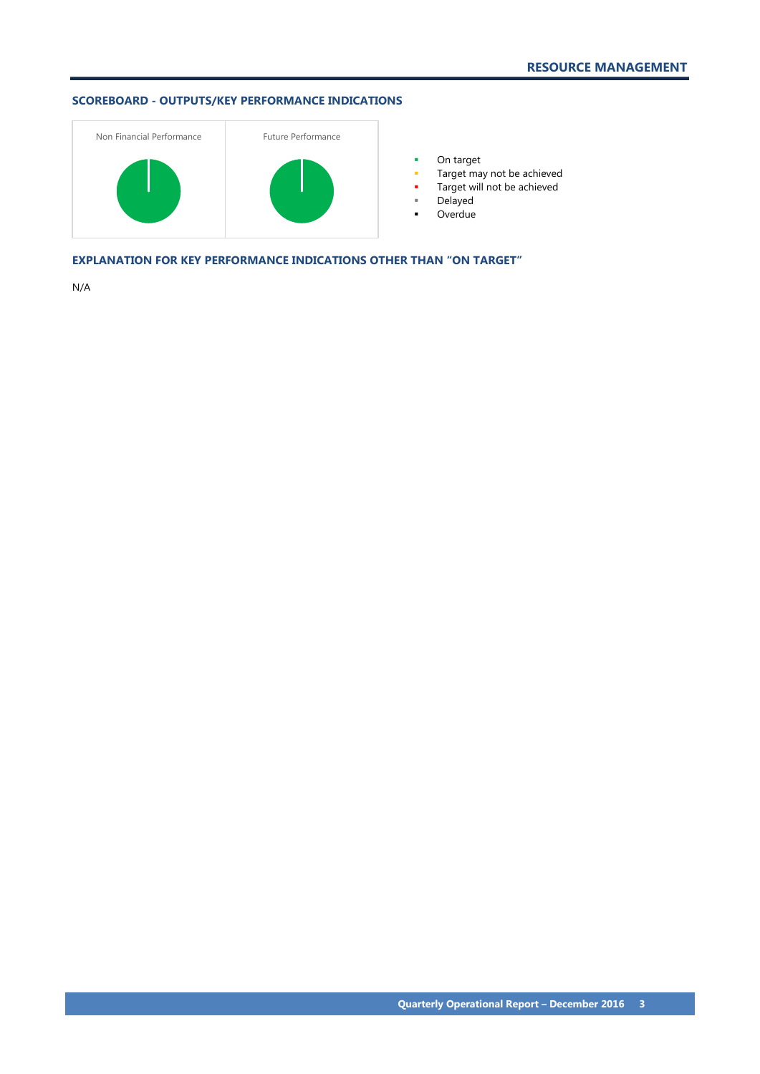

**•** On target

- **Target may not be achieved**
- **Target will not be achieved**
- Delayed
- Overdue

**EXPLANATION FOR KEY PERFORMANCE INDICATIONS OTHER THAN "ON TARGET"**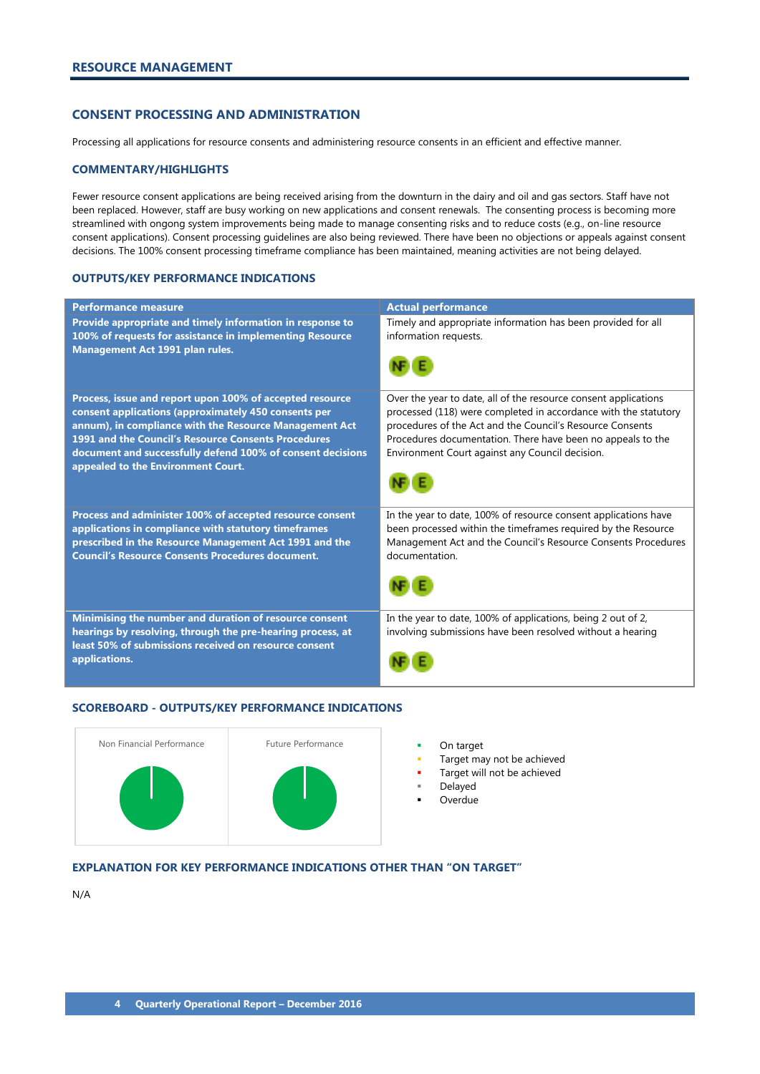# <span id="page-5-0"></span>**CONSENT PROCESSING AND ADMINISTRATION**

Processing all applications for resource consents and administering resource consents in an efficient and effective manner.

# **COMMENTARY/HIGHLIGHTS**

Fewer resource consent applications are being received arising from the downturn in the dairy and oil and gas sectors. Staff have not been replaced. However, staff are busy working on new applications and consent renewals. The consenting process is becoming more streamlined with ongong system improvements being made to manage consenting risks and to reduce costs (e.g., on-line resource consent applications). Consent processing guidelines are also being reviewed. There have been no objections or appeals against consent decisions. The 100% consent processing timeframe compliance has been maintained, meaning activities are not being delayed.

### **OUTPUTS/KEY PERFORMANCE INDICATIONS**

| <b>Performance measure</b>                                                                                                                                                                                                                                                                                                            | <b>Actual performance</b>                                                                                                                                                                                                                                                                                         |
|---------------------------------------------------------------------------------------------------------------------------------------------------------------------------------------------------------------------------------------------------------------------------------------------------------------------------------------|-------------------------------------------------------------------------------------------------------------------------------------------------------------------------------------------------------------------------------------------------------------------------------------------------------------------|
| Provide appropriate and timely information in response to<br>100% of requests for assistance in implementing Resource<br>Management Act 1991 plan rules.                                                                                                                                                                              | Timely and appropriate information has been provided for all<br>information requests.                                                                                                                                                                                                                             |
| Process, issue and report upon 100% of accepted resource<br>consent applications (approximately 450 consents per<br>annum), in compliance with the Resource Management Act<br>1991 and the Council's Resource Consents Procedures<br>document and successfully defend 100% of consent decisions<br>appealed to the Environment Court. | Over the year to date, all of the resource consent applications<br>processed (118) were completed in accordance with the statutory<br>procedures of the Act and the Council's Resource Consents<br>Procedures documentation. There have been no appeals to the<br>Environment Court against any Council decision. |
| Process and administer 100% of accepted resource consent<br>applications in compliance with statutory timeframes<br>prescribed in the Resource Management Act 1991 and the<br><b>Council's Resource Consents Procedures document.</b>                                                                                                 | In the year to date, 100% of resource consent applications have<br>been processed within the timeframes required by the Resource<br>Management Act and the Council's Resource Consents Procedures<br>documentation.                                                                                               |
| Minimising the number and duration of resource consent<br>hearings by resolving, through the pre-hearing process, at<br>least 50% of submissions received on resource consent<br>applications.                                                                                                                                        | In the year to date, 100% of applications, being 2 out of 2,<br>involving submissions have been resolved without a hearing                                                                                                                                                                                        |

#### **SCOREBOARD - OUTPUTS/KEY PERFORMANCE INDICATIONS**



- 
- Target may not be achieved
- Target will not be achieved
- Delayed
- **Overdue**

# **EXPLANATION FOR KEY PERFORMANCE INDICATIONS OTHER THAN "ON TARGET"**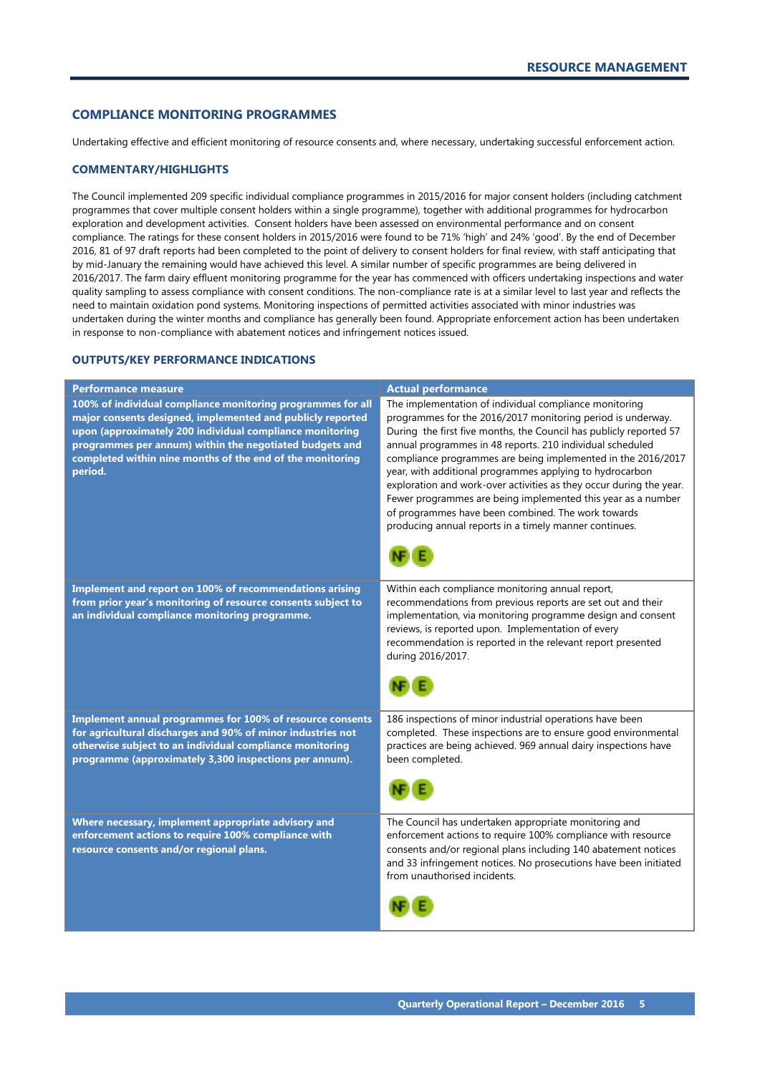# <span id="page-6-0"></span>**COMPLIANCE MONITORING PROGRAMMES**

Undertaking effective and efficient monitoring of resource consents and, where necessary, undertaking successful enforcement action.

#### **COMMENTARY/HIGHLIGHTS**

The Council implemented 209 specific individual compliance programmes in 2015/2016 for major consent holders (including catchment programmes that cover multiple consent holders within a single programme), together with additional programmes for hydrocarbon exploration and development activities. Consent holders have been assessed on environmental performance and on consent compliance. The ratings for these consent holders in 2015/2016 were found to be 71% 'high' and 24% 'good'. By the end of December 2016, 81 of 97 draft reports had been completed to the point of delivery to consent holders for final review, with staff anticipating that by mid-January the remaining would have achieved this level. A similar number of specific programmes are being delivered in 2016/2017. The farm dairy effluent monitoring programme for the year has commenced with officers undertaking inspections and water quality sampling to assess compliance with consent conditions. The non-compliance rate is at a similar level to last year and reflects the need to maintain oxidation pond systems. Monitoring inspections of permitted activities associated with minor industries was undertaken during the winter months and compliance has generally been found. Appropriate enforcement action has been undertaken in response to non-compliance with abatement notices and infringement notices issued.

| <b>Performance measure</b>                                   | <b>Actual performance</b>                                                                                         |
|--------------------------------------------------------------|-------------------------------------------------------------------------------------------------------------------|
| 100% of individual compliance monitoring programmes for all  | The implementation of individual compliance monitoring                                                            |
| major consents designed, implemented and publicly reported   | programmes for the 2016/2017 monitoring period is underway.                                                       |
| upon (approximately 200 individual compliance monitoring     | During the first five months, the Council has publicly reported 57                                                |
| programmes per annum) within the negotiated budgets and      | annual programmes in 48 reports. 210 individual scheduled                                                         |
| completed within nine months of the end of the monitoring    | compliance programmes are being implemented in the 2016/2017                                                      |
| period.                                                      | year, with additional programmes applying to hydrocarbon                                                          |
|                                                              | exploration and work-over activities as they occur during the year.                                               |
|                                                              | Fewer programmes are being implemented this year as a number                                                      |
|                                                              | of programmes have been combined. The work towards                                                                |
|                                                              | producing annual reports in a timely manner continues.                                                            |
|                                                              |                                                                                                                   |
|                                                              |                                                                                                                   |
|                                                              |                                                                                                                   |
|                                                              |                                                                                                                   |
| Implement and report on 100% of recommendations arising      | Within each compliance monitoring annual report,                                                                  |
| from prior year's monitoring of resource consents subject to | recommendations from previous reports are set out and their                                                       |
| an individual compliance monitoring programme.               | implementation, via monitoring programme design and consent<br>reviews, is reported upon. Implementation of every |
|                                                              |                                                                                                                   |
|                                                              | recommendation is reported in the relevant report presented<br>during 2016/2017.                                  |
|                                                              |                                                                                                                   |
|                                                              |                                                                                                                   |
|                                                              |                                                                                                                   |
|                                                              |                                                                                                                   |
| Implement annual programmes for 100% of resource consents    | 186 inspections of minor industrial operations have been                                                          |
| for agricultural discharges and 90% of minor industries not  | completed. These inspections are to ensure good environmental                                                     |
| otherwise subject to an individual compliance monitoring     | practices are being achieved. 969 annual dairy inspections have                                                   |
| programme (approximately 3,300 inspections per annum).       | been completed.                                                                                                   |
|                                                              |                                                                                                                   |
|                                                              |                                                                                                                   |
|                                                              |                                                                                                                   |
| Where necessary, implement appropriate advisory and          | The Council has undertaken appropriate monitoring and                                                             |
| enforcement actions to require 100% compliance with          | enforcement actions to require 100% compliance with resource                                                      |
| resource consents and/or regional plans.                     | consents and/or regional plans including 140 abatement notices                                                    |
|                                                              | and 33 infringement notices. No prosecutions have been initiated                                                  |
|                                                              | from unauthorised incidents.                                                                                      |
|                                                              |                                                                                                                   |
|                                                              |                                                                                                                   |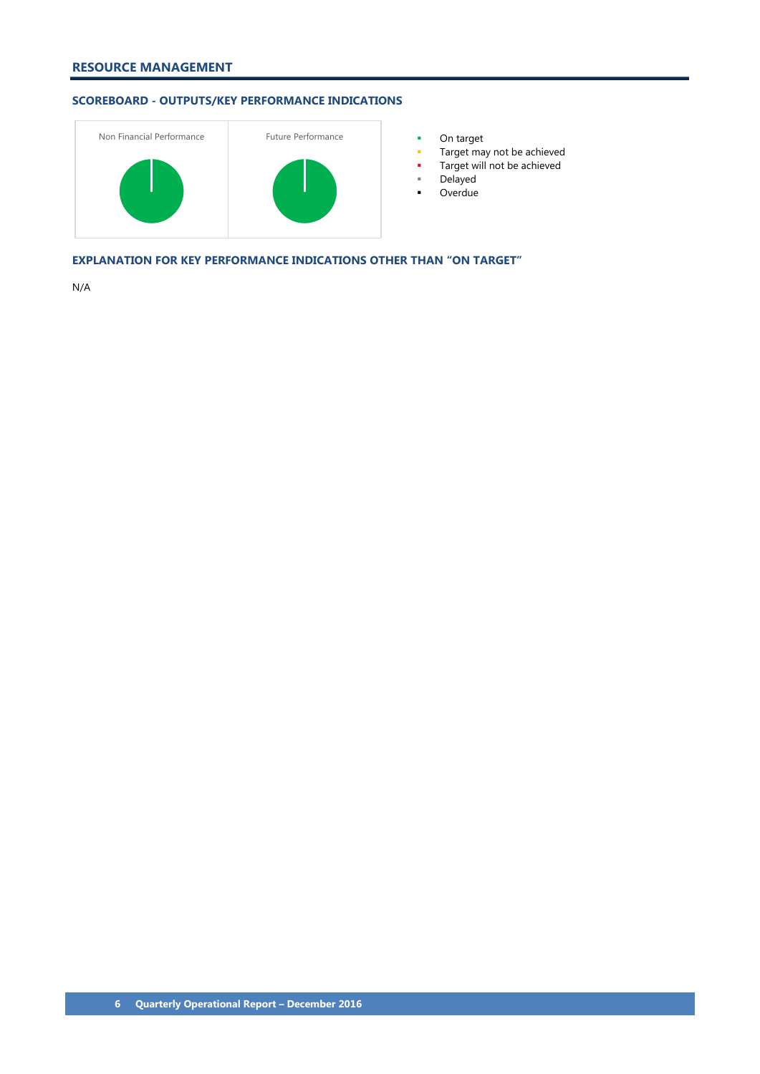

- 
- **Target may not be achieved**
- **Target will not be achieved**
- Delayed
- Overdue

**EXPLANATION FOR KEY PERFORMANCE INDICATIONS OTHER THAN "ON TARGET"**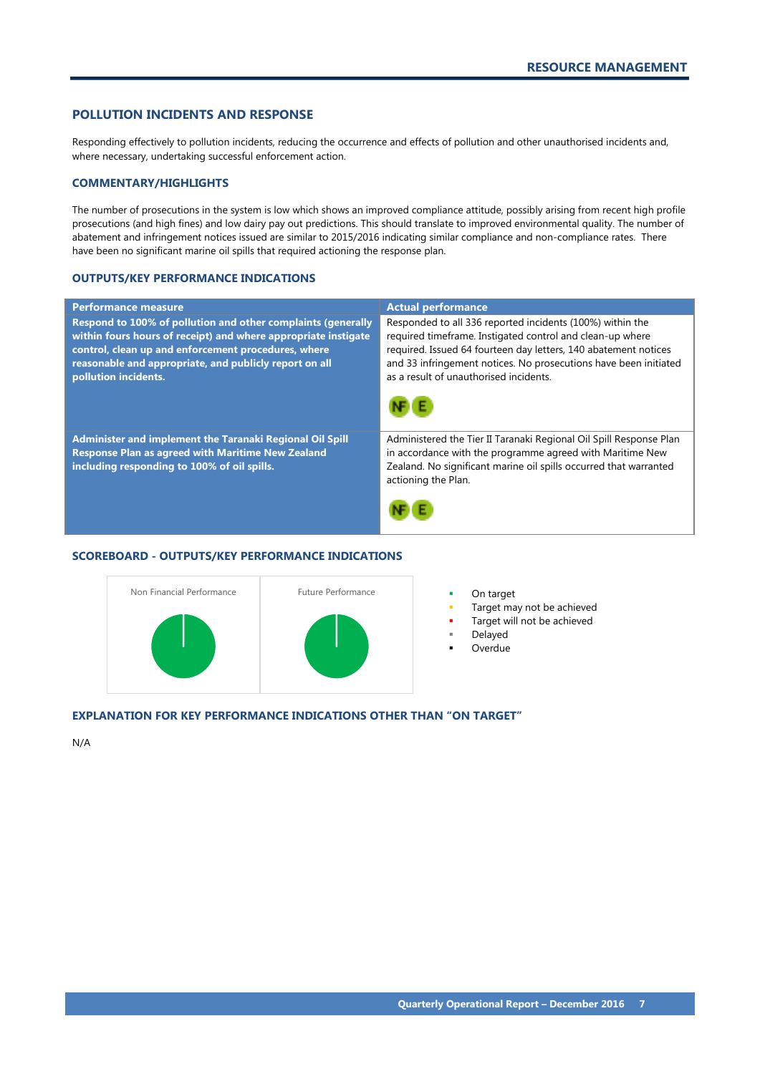# <span id="page-8-0"></span>**POLLUTION INCIDENTS AND RESPONSE**

Responding effectively to pollution incidents, reducing the occurrence and effects of pollution and other unauthorised incidents and, where necessary, undertaking successful enforcement action.

# **COMMENTARY/HIGHLIGHTS**

The number of prosecutions in the system is low which shows an improved compliance attitude, possibly arising from recent high profile prosecutions (and high fines) and low dairy pay out predictions. This should translate to improved environmental quality. The number of abatement and infringement notices issued are similar to 2015/2016 indicating similar compliance and non-compliance rates. There have been no significant marine oil spills that required actioning the response plan.

### **OUTPUTS/KEY PERFORMANCE INDICATIONS**

| <b>Performance measure</b>                                                                                                                                                                                                                                              | <b>Actual performance</b>                                                                                                                                                                                                                                                                               |
|-------------------------------------------------------------------------------------------------------------------------------------------------------------------------------------------------------------------------------------------------------------------------|---------------------------------------------------------------------------------------------------------------------------------------------------------------------------------------------------------------------------------------------------------------------------------------------------------|
| Respond to 100% of pollution and other complaints (generally<br>within fours hours of receipt) and where appropriate instigate<br>control, clean up and enforcement procedures, where<br>reasonable and appropriate, and publicly report on all<br>pollution incidents. | Responded to all 336 reported incidents (100%) within the<br>required timeframe. Instigated control and clean-up where<br>required. Issued 64 fourteen day letters, 140 abatement notices<br>and 33 infringement notices. No prosecutions have been initiated<br>as a result of unauthorised incidents. |
| Administer and implement the Taranaki Regional Oil Spill<br><b>Response Plan as agreed with Maritime New Zealand</b><br>including responding to 100% of oil spills.                                                                                                     | Administered the Tier II Taranaki Regional Oil Spill Response Plan<br>in accordance with the programme agreed with Maritime New<br>Zealand. No significant marine oil spills occurred that warranted<br>actioning the Plan.                                                                             |

# **SCOREBOARD - OUTPUTS/KEY PERFORMANCE INDICATIONS**



- 
- Target may not be achieved
- Target will not be achieved
- Delayed
- **Overdue**

# **EXPLANATION FOR KEY PERFORMANCE INDICATIONS OTHER THAN "ON TARGET"**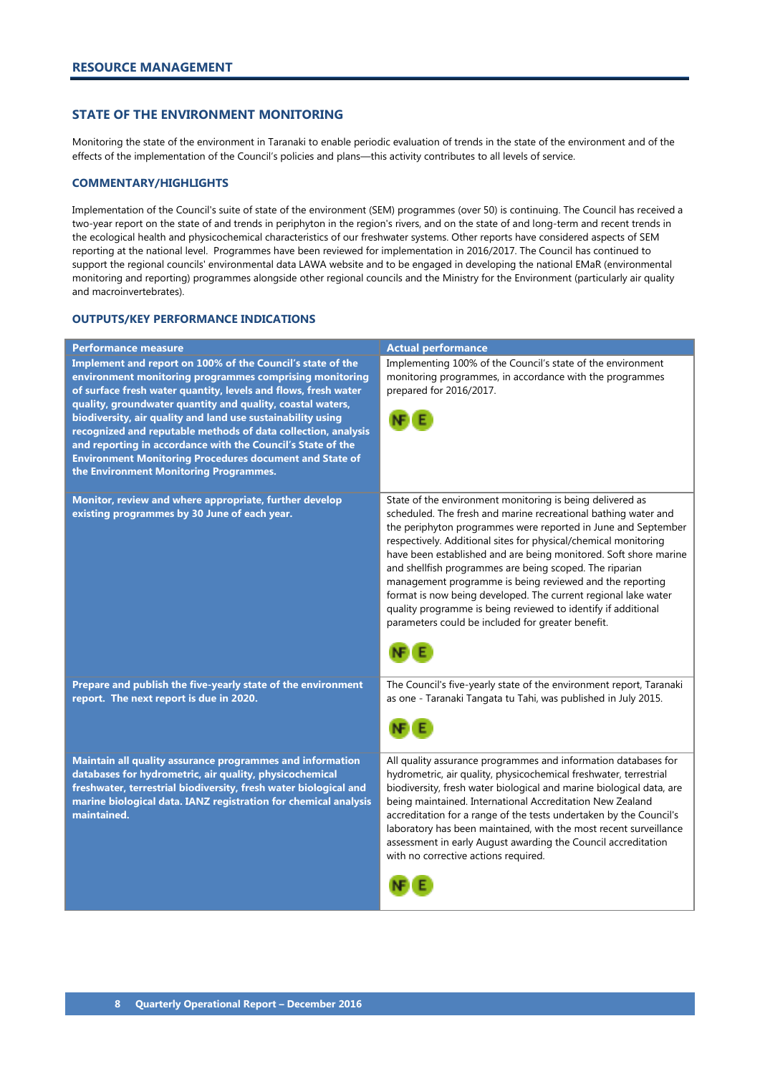# <span id="page-9-0"></span>**STATE OF THE ENVIRONMENT MONITORING**

Monitoring the state of the environment in Taranaki to enable periodic evaluation of trends in the state of the environment and of the effects of the implementation of the Council's policies and plans—this activity contributes to all levels of service.

# **COMMENTARY/HIGHLIGHTS**

Implementation of the Council's suite of state of the environment (SEM) programmes (over 50) is continuing. The Council has received a two-year report on the state of and trends in periphyton in the region's rivers, and on the state of and long-term and recent trends in the ecological health and physicochemical characteristics of our freshwater systems. Other reports have considered aspects of SEM reporting at the national level. Programmes have been reviewed for implementation in 2016/2017. The Council has continued to support the regional councils' environmental data LAWA website and to be engaged in developing the national EMaR (environmental monitoring and reporting) programmes alongside other regional councils and the Ministry for the Environment (particularly air quality and macroinvertebrates).

| <b>Performance measure</b>                                                                                                                                                                                                                                                                                                                                                                                                                                                                                                                                       | <b>Actual performance</b>                                                                                                                                                                                                                                                                                                                                                                                                                                                                                                                                                                                                                          |
|------------------------------------------------------------------------------------------------------------------------------------------------------------------------------------------------------------------------------------------------------------------------------------------------------------------------------------------------------------------------------------------------------------------------------------------------------------------------------------------------------------------------------------------------------------------|----------------------------------------------------------------------------------------------------------------------------------------------------------------------------------------------------------------------------------------------------------------------------------------------------------------------------------------------------------------------------------------------------------------------------------------------------------------------------------------------------------------------------------------------------------------------------------------------------------------------------------------------------|
| Implement and report on 100% of the Council's state of the<br>environment monitoring programmes comprising monitoring<br>of surface fresh water quantity, levels and flows, fresh water<br>quality, groundwater quantity and quality, coastal waters,<br>biodiversity, air quality and land use sustainability using<br>recognized and reputable methods of data collection, analysis<br>and reporting in accordance with the Council's State of the<br><b>Environment Monitoring Procedures document and State of</b><br>the Environment Monitoring Programmes. | Implementing 100% of the Council's state of the environment<br>monitoring programmes, in accordance with the programmes<br>prepared for 2016/2017.                                                                                                                                                                                                                                                                                                                                                                                                                                                                                                 |
| Monitor, review and where appropriate, further develop<br>existing programmes by 30 June of each year.                                                                                                                                                                                                                                                                                                                                                                                                                                                           | State of the environment monitoring is being delivered as<br>scheduled. The fresh and marine recreational bathing water and<br>the periphyton programmes were reported in June and September<br>respectively. Additional sites for physical/chemical monitoring<br>have been established and are being monitored. Soft shore marine<br>and shellfish programmes are being scoped. The riparian<br>management programme is being reviewed and the reporting<br>format is now being developed. The current regional lake water<br>quality programme is being reviewed to identify if additional<br>parameters could be included for greater benefit. |
| Prepare and publish the five-yearly state of the environment<br>report. The next report is due in 2020.                                                                                                                                                                                                                                                                                                                                                                                                                                                          | The Council's five-yearly state of the environment report, Taranaki<br>as one - Taranaki Tangata tu Tahi, was published in July 2015.                                                                                                                                                                                                                                                                                                                                                                                                                                                                                                              |
| Maintain all quality assurance programmes and information<br>databases for hydrometric, air quality, physicochemical<br>freshwater, terrestrial biodiversity, fresh water biological and<br>marine biological data. IANZ registration for chemical analysis<br>maintained.                                                                                                                                                                                                                                                                                       | All quality assurance programmes and information databases for<br>hydrometric, air quality, physicochemical freshwater, terrestrial<br>biodiversity, fresh water biological and marine biological data, are<br>being maintained. International Accreditation New Zealand<br>accreditation for a range of the tests undertaken by the Council's<br>laboratory has been maintained, with the most recent surveillance<br>assessment in early August awarding the Council accreditation<br>with no corrective actions required.                                                                                                                       |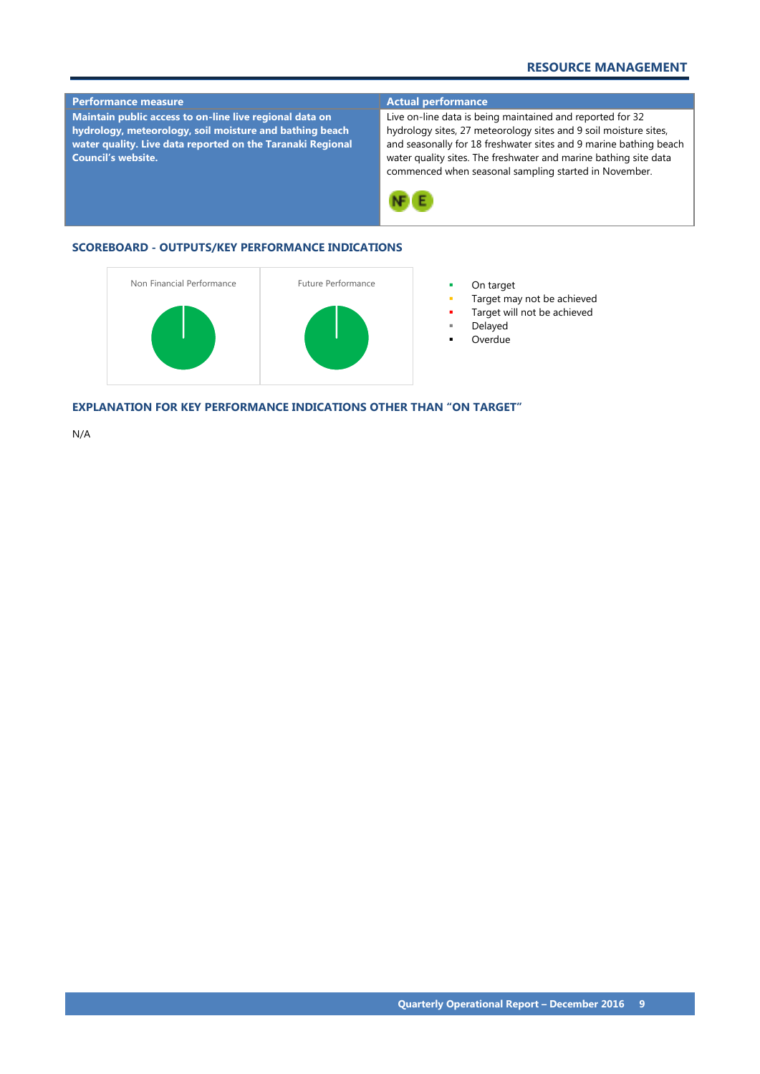# **RESOURCE MANAGEMENT**



- Target may not be achieved
- Target will not be achieved
- Delayed
- Overdue

**EXPLANATION FOR KEY PERFORMANCE INDICATIONS OTHER THAN "ON TARGET"**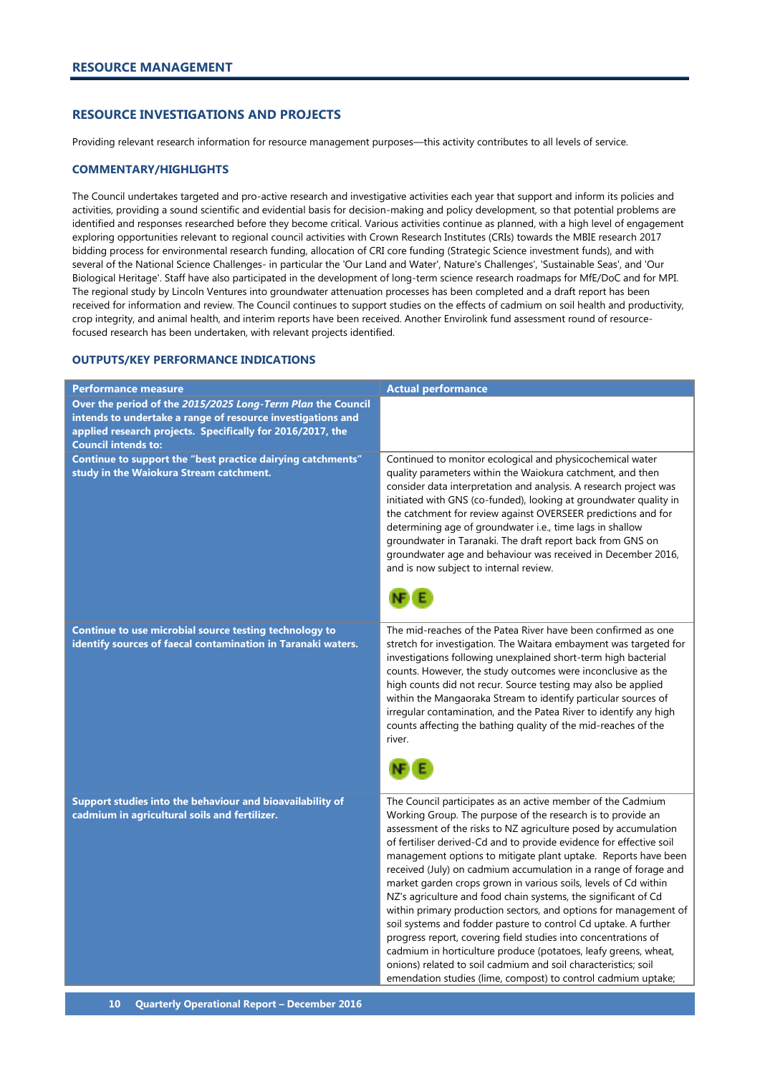# <span id="page-11-0"></span>**RESOURCE INVESTIGATIONS AND PROJECTS**

Providing relevant research information for resource management purposes—this activity contributes to all levels of service.

#### **COMMENTARY/HIGHLIGHTS**

The Council undertakes targeted and pro-active research and investigative activities each year that support and inform its policies and activities, providing a sound scientific and evidential basis for decision-making and policy development, so that potential problems are identified and responses researched before they become critical. Various activities continue as planned, with a high level of engagement exploring opportunities relevant to regional council activities with Crown Research Institutes (CRIs) towards the MBIE research 2017 bidding process for environmental research funding, allocation of CRI core funding (Strategic Science investment funds), and with several of the National Science Challenges- in particular the 'Our Land and Water', Nature's Challenges', 'Sustainable Seas', and 'Our Biological Heritage'. Staff have also participated in the development of long-term science research roadmaps for MfE/DoC and for MPI. The regional study by Lincoln Ventures into groundwater attenuation processes has been completed and a draft report has been received for information and review. The Council continues to support studies on the effects of cadmium on soil health and productivity, crop integrity, and animal health, and interim reports have been received. Another Envirolink fund assessment round of resourcefocused research has been undertaken, with relevant projects identified.

| Performance measure                                                                                                                                                                                                    | <b>Actual performance</b>                                                                                                                                                                                                                                                                                                                                                                                                                                                                                                                                                                                                                                                                                                                                                                                                                                                                                                                                      |
|------------------------------------------------------------------------------------------------------------------------------------------------------------------------------------------------------------------------|----------------------------------------------------------------------------------------------------------------------------------------------------------------------------------------------------------------------------------------------------------------------------------------------------------------------------------------------------------------------------------------------------------------------------------------------------------------------------------------------------------------------------------------------------------------------------------------------------------------------------------------------------------------------------------------------------------------------------------------------------------------------------------------------------------------------------------------------------------------------------------------------------------------------------------------------------------------|
| Over the period of the 2015/2025 Long-Term Plan the Council<br>intends to undertake a range of resource investigations and<br>applied research projects. Specifically for 2016/2017, the<br><b>Council intends to:</b> |                                                                                                                                                                                                                                                                                                                                                                                                                                                                                                                                                                                                                                                                                                                                                                                                                                                                                                                                                                |
| Continue to support the "best practice dairying catchments"<br>study in the Waiokura Stream catchment.                                                                                                                 | Continued to monitor ecological and physicochemical water<br>quality parameters within the Waiokura catchment, and then<br>consider data interpretation and analysis. A research project was<br>initiated with GNS (co-funded), looking at groundwater quality in<br>the catchment for review against OVERSEER predictions and for<br>determining age of groundwater i.e., time lags in shallow<br>groundwater in Taranaki. The draft report back from GNS on<br>groundwater age and behaviour was received in December 2016,<br>and is now subject to internal review.                                                                                                                                                                                                                                                                                                                                                                                        |
| Continue to use microbial source testing technology to<br>identify sources of faecal contamination in Taranaki waters.                                                                                                 | The mid-reaches of the Patea River have been confirmed as one<br>stretch for investigation. The Waitara embayment was targeted for<br>investigations following unexplained short-term high bacterial<br>counts. However, the study outcomes were inconclusive as the<br>high counts did not recur. Source testing may also be applied<br>within the Mangaoraka Stream to identify particular sources of<br>irregular contamination, and the Patea River to identify any high<br>counts affecting the bathing quality of the mid-reaches of the<br>river.                                                                                                                                                                                                                                                                                                                                                                                                       |
| Support studies into the behaviour and bioavailability of<br>cadmium in agricultural soils and fertilizer.                                                                                                             | The Council participates as an active member of the Cadmium<br>Working Group. The purpose of the research is to provide an<br>assessment of the risks to NZ agriculture posed by accumulation<br>of fertiliser derived-Cd and to provide evidence for effective soil<br>management options to mitigate plant uptake. Reports have been<br>received (July) on cadmium accumulation in a range of forage and<br>market garden crops grown in various soils, levels of Cd within<br>NZ's agriculture and food chain systems, the significant of Cd<br>within primary production sectors, and options for management of<br>soil systems and fodder pasture to control Cd uptake. A further<br>progress report, covering field studies into concentrations of<br>cadmium in horticulture produce (potatoes, leafy greens, wheat,<br>onions) related to soil cadmium and soil characteristics; soil<br>emendation studies (lime, compost) to control cadmium uptake; |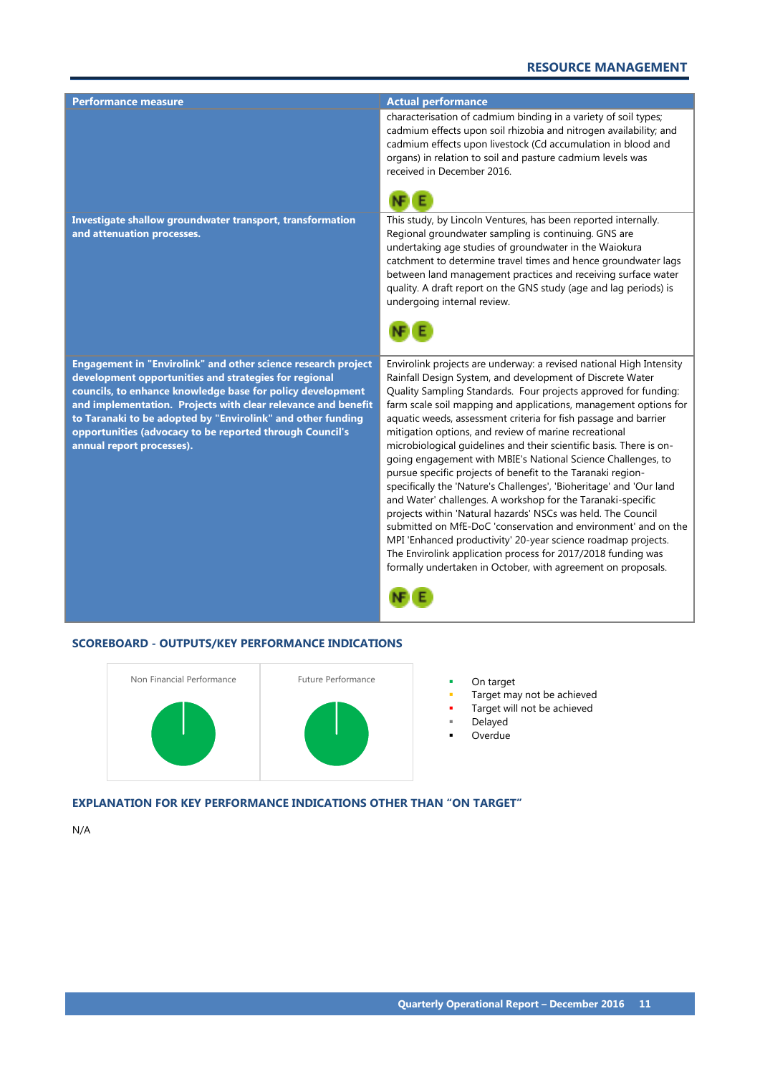| <b>Performance measure</b>                                                                                                                                                                                                                                                                                                                                                                                    | <b>Actual performance</b>                                                                                                                                                                                                                                                                                                                                                                                                                                                                                                                                                                                                                                                                                                                                                                                                                                                                                                                                                                                                                                                          |
|---------------------------------------------------------------------------------------------------------------------------------------------------------------------------------------------------------------------------------------------------------------------------------------------------------------------------------------------------------------------------------------------------------------|------------------------------------------------------------------------------------------------------------------------------------------------------------------------------------------------------------------------------------------------------------------------------------------------------------------------------------------------------------------------------------------------------------------------------------------------------------------------------------------------------------------------------------------------------------------------------------------------------------------------------------------------------------------------------------------------------------------------------------------------------------------------------------------------------------------------------------------------------------------------------------------------------------------------------------------------------------------------------------------------------------------------------------------------------------------------------------|
|                                                                                                                                                                                                                                                                                                                                                                                                               | characterisation of cadmium binding in a variety of soil types;<br>cadmium effects upon soil rhizobia and nitrogen availability; and<br>cadmium effects upon livestock (Cd accumulation in blood and<br>organs) in relation to soil and pasture cadmium levels was<br>received in December 2016.                                                                                                                                                                                                                                                                                                                                                                                                                                                                                                                                                                                                                                                                                                                                                                                   |
|                                                                                                                                                                                                                                                                                                                                                                                                               |                                                                                                                                                                                                                                                                                                                                                                                                                                                                                                                                                                                                                                                                                                                                                                                                                                                                                                                                                                                                                                                                                    |
| Investigate shallow groundwater transport, transformation<br>and attenuation processes.                                                                                                                                                                                                                                                                                                                       | This study, by Lincoln Ventures, has been reported internally.<br>Regional groundwater sampling is continuing. GNS are<br>undertaking age studies of groundwater in the Waiokura<br>catchment to determine travel times and hence groundwater lags<br>between land management practices and receiving surface water<br>quality. A draft report on the GNS study (age and lag periods) is<br>undergoing internal review.                                                                                                                                                                                                                                                                                                                                                                                                                                                                                                                                                                                                                                                            |
|                                                                                                                                                                                                                                                                                                                                                                                                               |                                                                                                                                                                                                                                                                                                                                                                                                                                                                                                                                                                                                                                                                                                                                                                                                                                                                                                                                                                                                                                                                                    |
| Engagement in "Envirolink" and other science research project<br>development opportunities and strategies for regional<br>councils, to enhance knowledge base for policy development<br>and implementation. Projects with clear relevance and benefit<br>to Taranaki to be adopted by "Envirolink" and other funding<br>opportunities (advocacy to be reported through Council's<br>annual report processes). | Envirolink projects are underway: a revised national High Intensity<br>Rainfall Design System, and development of Discrete Water<br>Quality Sampling Standards. Four projects approved for funding:<br>farm scale soil mapping and applications, management options for<br>aquatic weeds, assessment criteria for fish passage and barrier<br>mitigation options, and review of marine recreational<br>microbiological guidelines and their scientific basis. There is on-<br>going engagement with MBIE's National Science Challenges, to<br>pursue specific projects of benefit to the Taranaki region-<br>specifically the 'Nature's Challenges', 'Bioheritage' and 'Our land<br>and Water' challenges. A workshop for the Taranaki-specific<br>projects within 'Natural hazards' NSCs was held. The Council<br>submitted on MfE-DoC 'conservation and environment' and on the<br>MPI 'Enhanced productivity' 20-year science roadmap projects.<br>The Envirolink application process for 2017/2018 funding was<br>formally undertaken in October, with agreement on proposals. |
|                                                                                                                                                                                                                                                                                                                                                                                                               |                                                                                                                                                                                                                                                                                                                                                                                                                                                                                                                                                                                                                                                                                                                                                                                                                                                                                                                                                                                                                                                                                    |



- Target may not be achieved
- Target will not be achieved
- Delayed
- Overdue

# **EXPLANATION FOR KEY PERFORMANCE INDICATIONS OTHER THAN "ON TARGET"**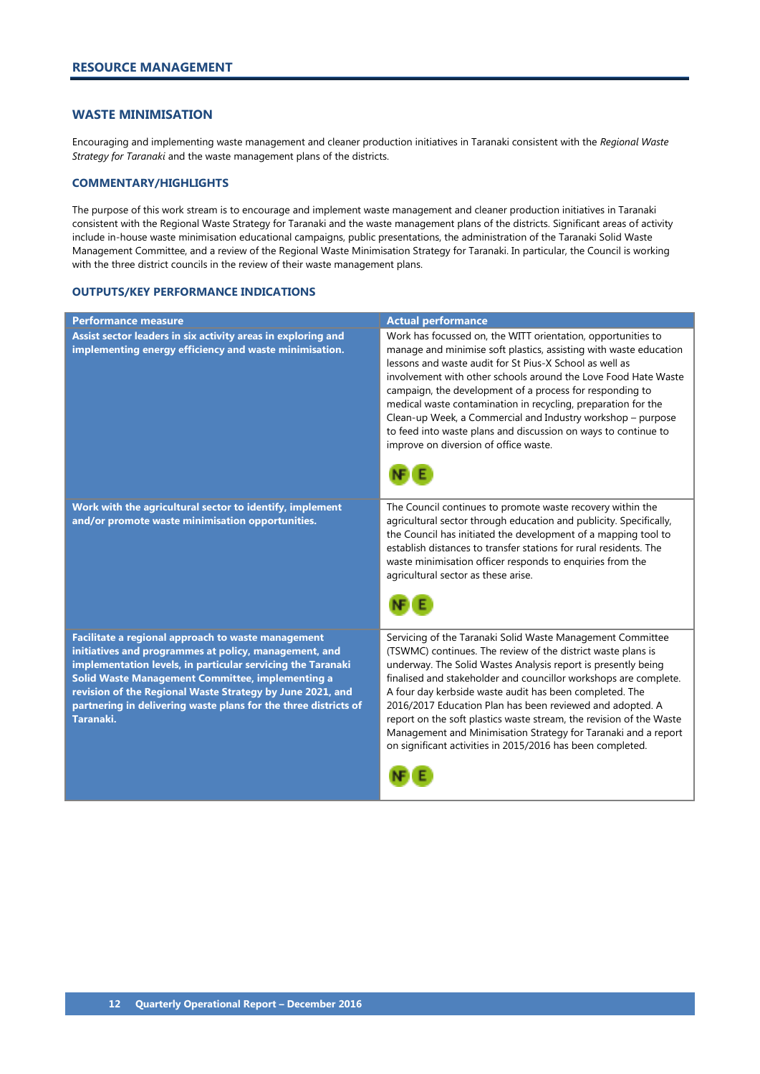# <span id="page-13-0"></span>**WASTE MINIMISATION**

Encouraging and implementing waste management and cleaner production initiatives in Taranaki consistent with the *Regional Waste Strategy for Taranaki* and the waste management plans of the districts.

# **COMMENTARY/HIGHLIGHTS**

The purpose of this work stream is to encourage and implement waste management and cleaner production initiatives in Taranaki consistent with the Regional Waste Strategy for Taranaki and the waste management plans of the districts. Significant areas of activity include in-house waste minimisation educational campaigns, public presentations, the administration of the Taranaki Solid Waste Management Committee, and a review of the Regional Waste Minimisation Strategy for Taranaki. In particular, the Council is working with the three district councils in the review of their waste management plans.

| <b>Performance measure</b>                                                                                                                                                                                                                                                                                                                                                  | <b>Actual performance</b>                                                                                                                                                                                                                                                                                                                                                                                                                                                                                                                                                                      |
|-----------------------------------------------------------------------------------------------------------------------------------------------------------------------------------------------------------------------------------------------------------------------------------------------------------------------------------------------------------------------------|------------------------------------------------------------------------------------------------------------------------------------------------------------------------------------------------------------------------------------------------------------------------------------------------------------------------------------------------------------------------------------------------------------------------------------------------------------------------------------------------------------------------------------------------------------------------------------------------|
| Assist sector leaders in six activity areas in exploring and<br>implementing energy efficiency and waste minimisation.                                                                                                                                                                                                                                                      | Work has focussed on, the WITT orientation, opportunities to<br>manage and minimise soft plastics, assisting with waste education<br>lessons and waste audit for St Pius-X School as well as<br>involvement with other schools around the Love Food Hate Waste<br>campaign, the development of a process for responding to<br>medical waste contamination in recycling, preparation for the<br>Clean-up Week, a Commercial and Industry workshop - purpose<br>to feed into waste plans and discussion on ways to continue to<br>improve on diversion of office waste.                          |
| Work with the agricultural sector to identify, implement<br>and/or promote waste minimisation opportunities.                                                                                                                                                                                                                                                                | The Council continues to promote waste recovery within the<br>agricultural sector through education and publicity. Specifically,<br>the Council has initiated the development of a mapping tool to<br>establish distances to transfer stations for rural residents. The<br>waste minimisation officer responds to enquiries from the<br>agricultural sector as these arise.                                                                                                                                                                                                                    |
| Facilitate a regional approach to waste management<br>initiatives and programmes at policy, management, and<br>implementation levels, in particular servicing the Taranaki<br>Solid Waste Management Committee, implementing a<br>revision of the Regional Waste Strategy by June 2021, and<br>partnering in delivering waste plans for the three districts of<br>Taranaki. | Servicing of the Taranaki Solid Waste Management Committee<br>(TSWMC) continues. The review of the district waste plans is<br>underway. The Solid Wastes Analysis report is presently being<br>finalised and stakeholder and councillor workshops are complete.<br>A four day kerbside waste audit has been completed. The<br>2016/2017 Education Plan has been reviewed and adopted. A<br>report on the soft plastics waste stream, the revision of the Waste<br>Management and Minimisation Strategy for Taranaki and a report<br>on significant activities in 2015/2016 has been completed. |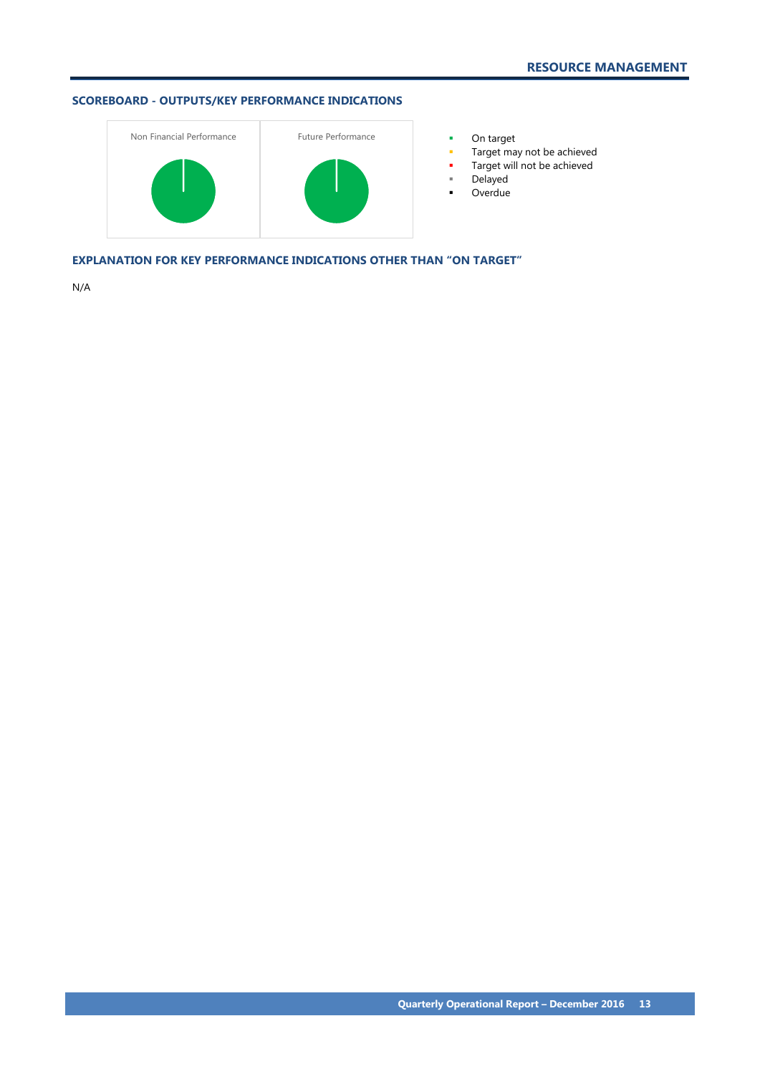

- 
- Target may not be achieved
- **Target will not be achieved**
- Delayed
- **-** Overdue

**EXPLANATION FOR KEY PERFORMANCE INDICATIONS OTHER THAN "ON TARGET"**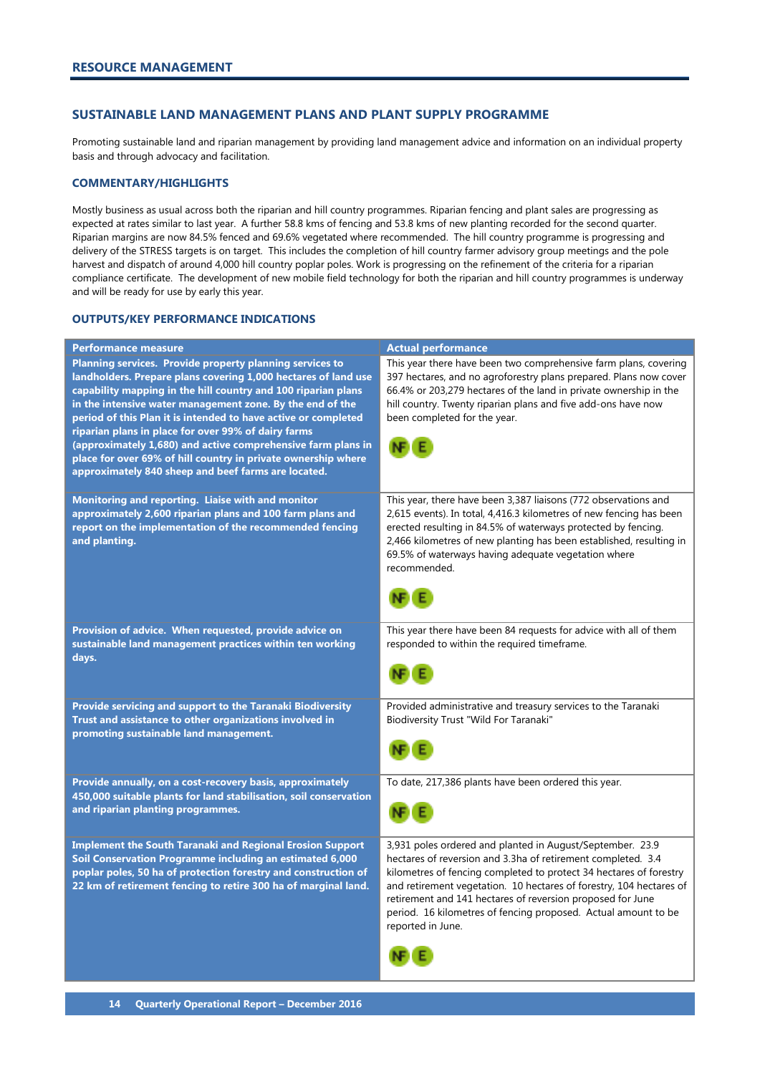# <span id="page-15-0"></span>**SUSTAINABLE LAND MANAGEMENT PLANS AND PLANT SUPPLY PROGRAMME**

Promoting sustainable land and riparian management by providing land management advice and information on an individual property basis and through advocacy and facilitation.

# **COMMENTARY/HIGHLIGHTS**

Mostly business as usual across both the riparian and hill country programmes. Riparian fencing and plant sales are progressing as expected at rates similar to last year. A further 58.8 kms of fencing and 53.8 kms of new planting recorded for the second quarter. Riparian margins are now 84.5% fenced and 69.6% vegetated where recommended. The hill country programme is progressing and delivery of the STRESS targets is on target. This includes the completion of hill country farmer advisory group meetings and the pole harvest and dispatch of around 4,000 hill country poplar poles. Work is progressing on the refinement of the criteria for a riparian compliance certificate. The development of new mobile field technology for both the riparian and hill country programmes is underway and will be ready for use by early this year.

| <b>Performance measure</b>                                                                                                                                                                                                                                                                                                                                                                                                                                                                                                                                                | <b>Actual performance</b>                                                                                                                                                                                                                                                                                                                                                                                                   |
|---------------------------------------------------------------------------------------------------------------------------------------------------------------------------------------------------------------------------------------------------------------------------------------------------------------------------------------------------------------------------------------------------------------------------------------------------------------------------------------------------------------------------------------------------------------------------|-----------------------------------------------------------------------------------------------------------------------------------------------------------------------------------------------------------------------------------------------------------------------------------------------------------------------------------------------------------------------------------------------------------------------------|
| Planning services. Provide property planning services to<br>landholders. Prepare plans covering 1,000 hectares of land use<br>capability mapping in the hill country and 100 riparian plans<br>in the intensive water management zone. By the end of the<br>period of this Plan it is intended to have active or completed<br>riparian plans in place for over 99% of dairy farms<br>(approximately 1,680) and active comprehensive farm plans in<br>place for over 69% of hill country in private ownership where<br>approximately 840 sheep and beef farms are located. | This year there have been two comprehensive farm plans, covering<br>397 hectares, and no agroforestry plans prepared. Plans now cover<br>66.4% or 203,279 hectares of the land in private ownership in the<br>hill country. Twenty riparian plans and five add-ons have now<br>been completed for the year.                                                                                                                 |
| Monitoring and reporting. Liaise with and monitor<br>approximately 2,600 riparian plans and 100 farm plans and<br>report on the implementation of the recommended fencing<br>and planting.                                                                                                                                                                                                                                                                                                                                                                                | This year, there have been 3,387 liaisons (772 observations and<br>2,615 events). In total, 4,416.3 kilometres of new fencing has been<br>erected resulting in 84.5% of waterways protected by fencing.<br>2,466 kilometres of new planting has been established, resulting in<br>69.5% of waterways having adequate vegetation where<br>recommended.                                                                       |
| Provision of advice. When requested, provide advice on<br>sustainable land management practices within ten working<br>days.                                                                                                                                                                                                                                                                                                                                                                                                                                               | This year there have been 84 requests for advice with all of them<br>responded to within the required timeframe.                                                                                                                                                                                                                                                                                                            |
| Provide servicing and support to the Taranaki Biodiversity<br>Trust and assistance to other organizations involved in<br>promoting sustainable land management.                                                                                                                                                                                                                                                                                                                                                                                                           | Provided administrative and treasury services to the Taranaki<br>Biodiversity Trust "Wild For Taranaki"                                                                                                                                                                                                                                                                                                                     |
| Provide annually, on a cost-recovery basis, approximately<br>450,000 suitable plants for land stabilisation, soil conservation<br>and riparian planting programmes.                                                                                                                                                                                                                                                                                                                                                                                                       | To date, 217,386 plants have been ordered this year.                                                                                                                                                                                                                                                                                                                                                                        |
| <b>Implement the South Taranaki and Regional Erosion Support</b><br>Soil Conservation Programme including an estimated 6,000<br>poplar poles, 50 ha of protection forestry and construction of<br>22 km of retirement fencing to retire 300 ha of marginal land.                                                                                                                                                                                                                                                                                                          | 3,931 poles ordered and planted in August/September. 23.9<br>hectares of reversion and 3.3ha of retirement completed. 3.4<br>kilometres of fencing completed to protect 34 hectares of forestry<br>and retirement vegetation. 10 hectares of forestry, 104 hectares of<br>retirement and 141 hectares of reversion proposed for June<br>period. 16 kilometres of fencing proposed. Actual amount to be<br>reported in June. |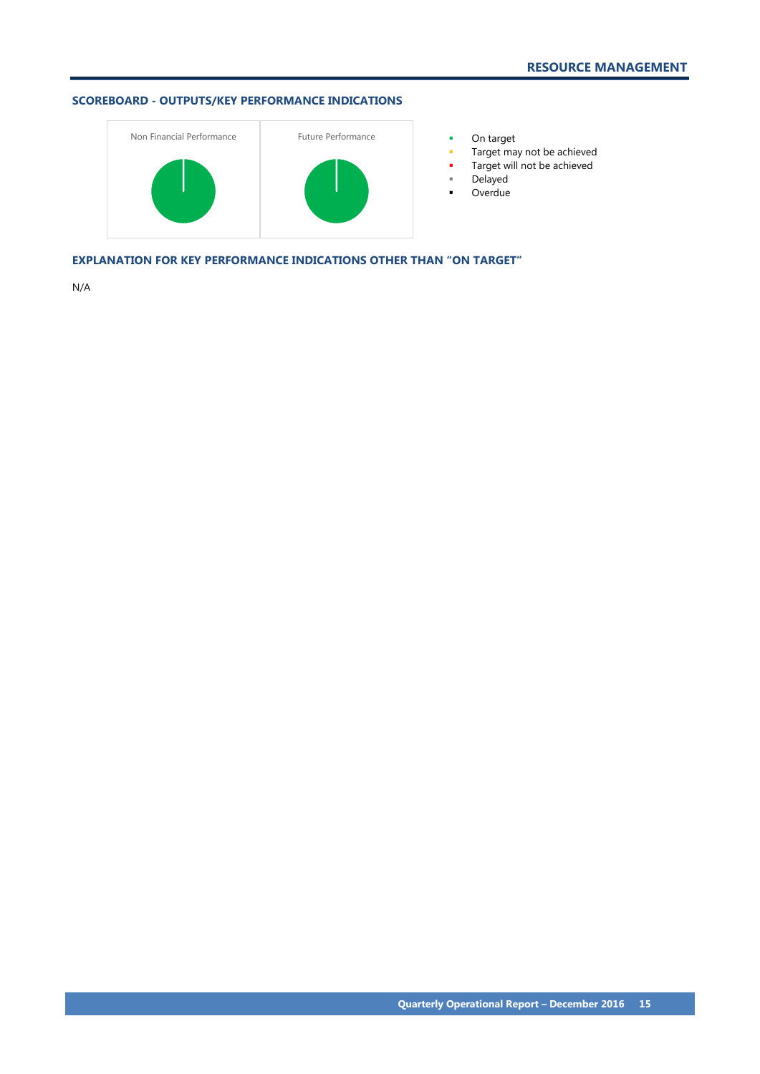

- 
- Target may not be achieved
- **Target will not be achieved**
- Delayed
- **-** Overdue

**EXPLANATION FOR KEY PERFORMANCE INDICATIONS OTHER THAN "ON TARGET"**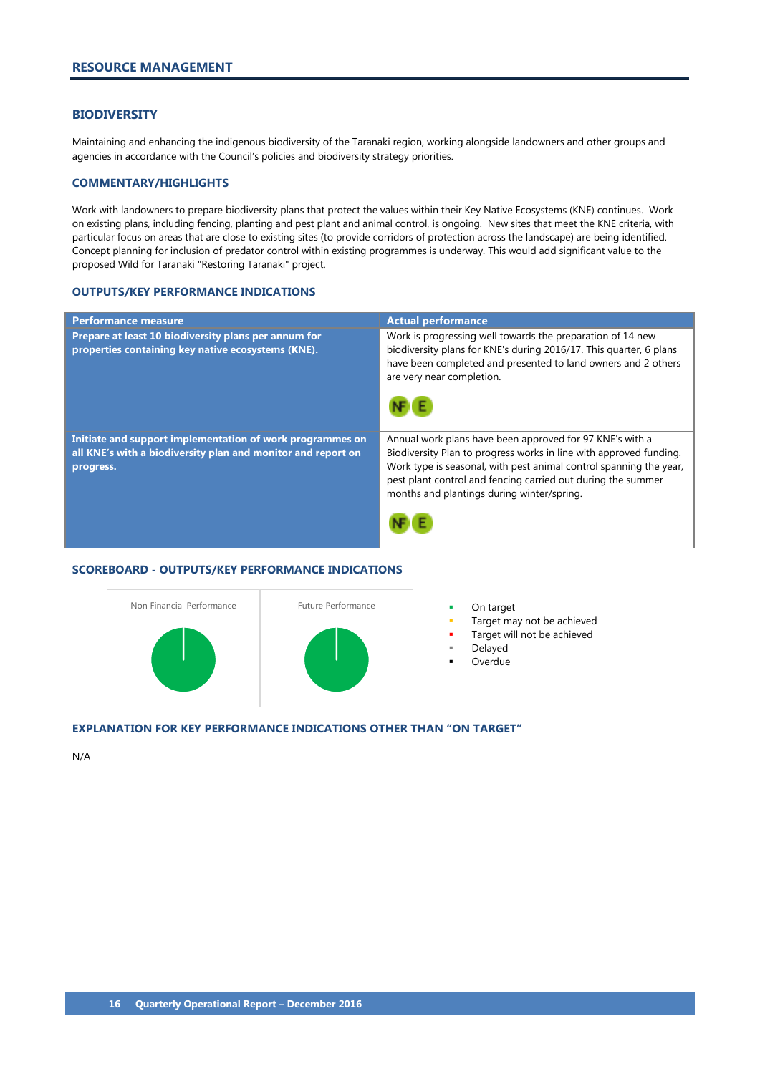### <span id="page-17-0"></span>**BIODIVERSITY**

Maintaining and enhancing the indigenous biodiversity of the Taranaki region, working alongside landowners and other groups and agencies in accordance with the Council's policies and biodiversity strategy priorities.

# **COMMENTARY/HIGHLIGHTS**

Work with landowners to prepare biodiversity plans that protect the values within their Key Native Ecosystems (KNE) continues. Work on existing plans, including fencing, planting and pest plant and animal control, is ongoing. New sites that meet the KNE criteria, with particular focus on areas that are close to existing sites (to provide corridors of protection across the landscape) are being identified. Concept planning for inclusion of predator control within existing programmes is underway. This would add significant value to the proposed Wild for Taranaki "Restoring Taranaki" project.

# **OUTPUTS/KEY PERFORMANCE INDICATIONS**

| <b>Performance measure</b>                                                                                                             | <b>Actual performance</b>                                                                                                                                                                                                                                                                                          |
|----------------------------------------------------------------------------------------------------------------------------------------|--------------------------------------------------------------------------------------------------------------------------------------------------------------------------------------------------------------------------------------------------------------------------------------------------------------------|
| Prepare at least 10 biodiversity plans per annum for<br>properties containing key native ecosystems (KNE).                             | Work is progressing well towards the preparation of 14 new<br>biodiversity plans for KNE's during 2016/17. This quarter, 6 plans<br>have been completed and presented to land owners and 2 others<br>are very near completion.                                                                                     |
| Initiate and support implementation of work programmes on<br>all KNE's with a biodiversity plan and monitor and report on<br>progress. | Annual work plans have been approved for 97 KNE's with a<br>Biodiversity Plan to progress works in line with approved funding.<br>Work type is seasonal, with pest animal control spanning the year,<br>pest plant control and fencing carried out during the summer<br>months and plantings during winter/spring. |

### **SCOREBOARD - OUTPUTS/KEY PERFORMANCE INDICATIONS**



- 
- Target may not be achieved
- Target will not be achieved
- Delayed
- Overdue

#### **EXPLANATION FOR KEY PERFORMANCE INDICATIONS OTHER THAN "ON TARGET"**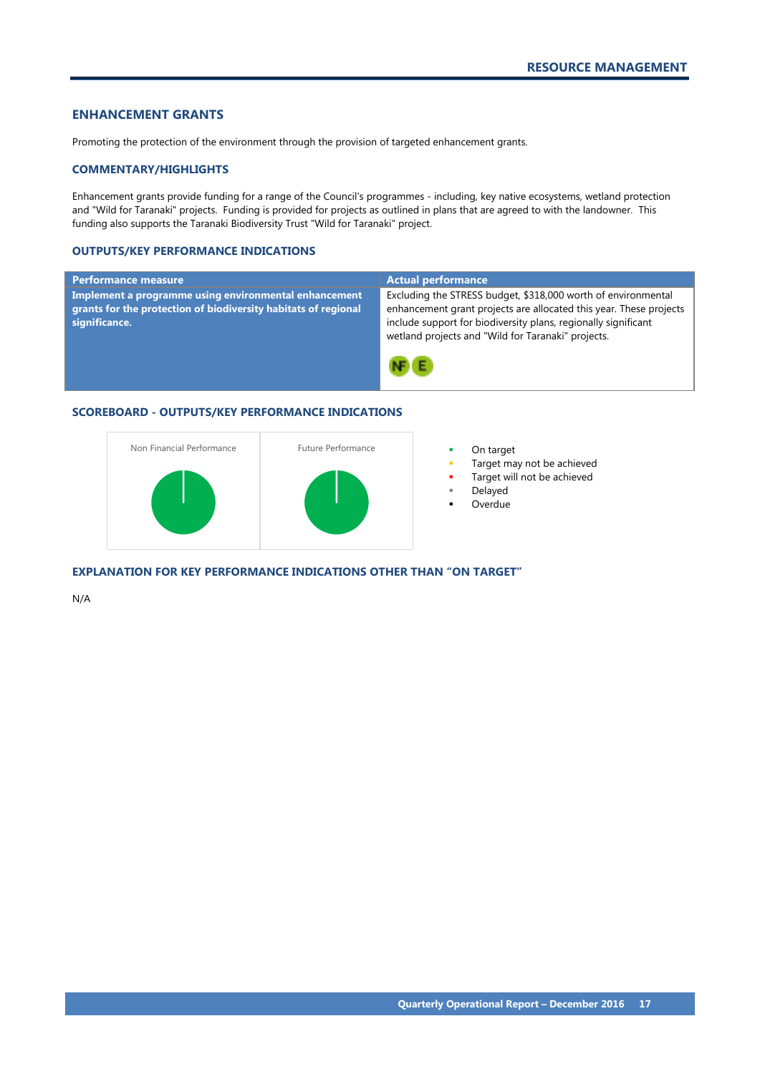# <span id="page-18-0"></span>**ENHANCEMENT GRANTS**

Promoting the protection of the environment through the provision of targeted enhancement grants.

# **COMMENTARY/HIGHLIGHTS**

Enhancement grants provide funding for a range of the Council's programmes - including, key native ecosystems, wetland protection and "Wild for Taranaki" projects. Funding is provided for projects as outlined in plans that are agreed to with the landowner. This funding also supports the Taranaki Biodiversity Trust "Wild for Taranaki" project.

# **OUTPUTS/KEY PERFORMANCE INDICATIONS**

| <b>Performance measure</b>                                                                                                               | <b>Actual performance</b>                                                                                                                                                                                                                                   |
|------------------------------------------------------------------------------------------------------------------------------------------|-------------------------------------------------------------------------------------------------------------------------------------------------------------------------------------------------------------------------------------------------------------|
| Implement a programme using environmental enhancement<br>grants for the protection of biodiversity habitats of regional<br>significance. | Excluding the STRESS budget, \$318,000 worth of environmental<br>enhancement grant projects are allocated this year. These projects<br>include support for biodiversity plans, regionally significant<br>wetland projects and "Wild for Taranaki" projects. |
|                                                                                                                                          |                                                                                                                                                                                                                                                             |

# **SCOREBOARD - OUTPUTS/KEY PERFORMANCE INDICATIONS**



# **EXPLANATION FOR KEY PERFORMANCE INDICATIONS OTHER THAN "ON TARGET"**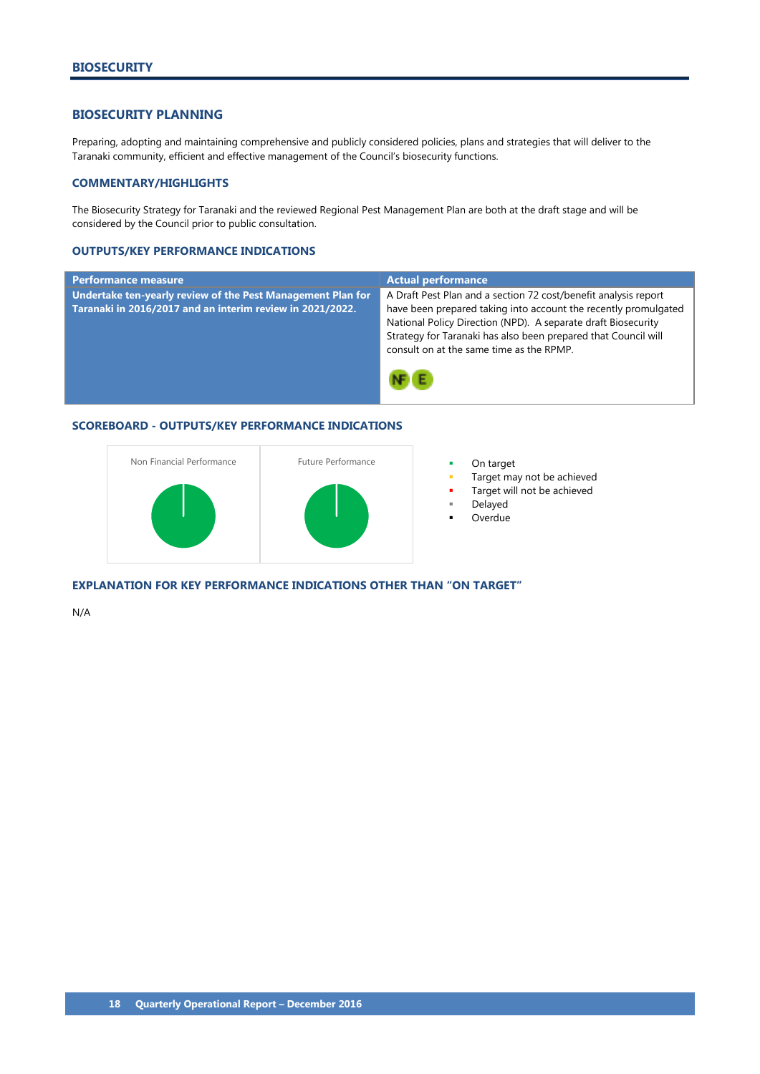# <span id="page-19-0"></span>**BIOSECURITY PLANNING**

Preparing, adopting and maintaining comprehensive and publicly considered policies, plans and strategies that will deliver to the Taranaki community, efficient and effective management of the Council's biosecurity functions.

# **COMMENTARY/HIGHLIGHTS**

The Biosecurity Strategy for Taranaki and the reviewed Regional Pest Management Plan are both at the draft stage and will be considered by the Council prior to public consultation.

# **OUTPUTS/KEY PERFORMANCE INDICATIONS**

| <b>Performance measure</b>                                                                                               | <b>Actual performance</b>                                                                                                                                                                                                                                                                                         |
|--------------------------------------------------------------------------------------------------------------------------|-------------------------------------------------------------------------------------------------------------------------------------------------------------------------------------------------------------------------------------------------------------------------------------------------------------------|
| Undertake ten-yearly review of the Pest Management Plan for<br>Taranaki in 2016/2017 and an interim review in 2021/2022. | A Draft Pest Plan and a section 72 cost/benefit analysis report<br>have been prepared taking into account the recently promulgated<br>National Policy Direction (NPD). A separate draft Biosecurity<br>Strategy for Taranaki has also been prepared that Council will<br>consult on at the same time as the RPMP. |
|                                                                                                                          |                                                                                                                                                                                                                                                                                                                   |

# **SCOREBOARD - OUTPUTS/KEY PERFORMANCE INDICATIONS**



- 
- Target may not be achieved
- Target will not be achieved
- Delayed
- Overdue

**EXPLANATION FOR KEY PERFORMANCE INDICATIONS OTHER THAN "ON TARGET"**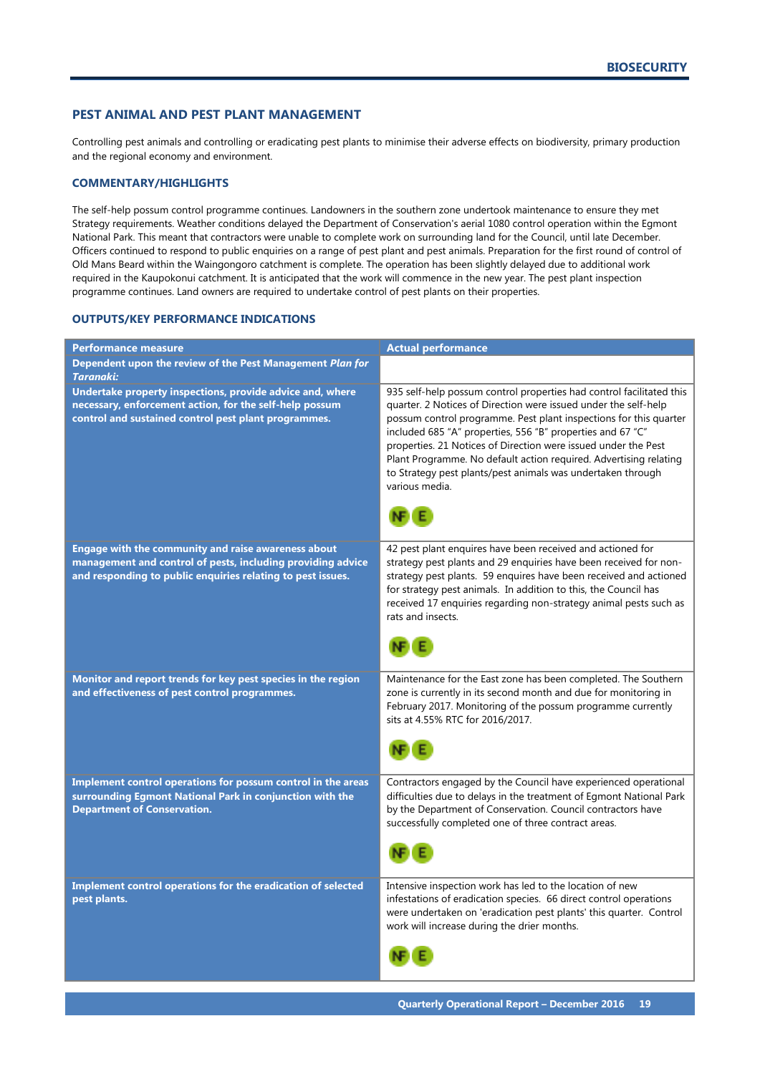# <span id="page-20-0"></span>**PEST ANIMAL AND PEST PLANT MANAGEMENT**

Controlling pest animals and controlling or eradicating pest plants to minimise their adverse effects on biodiversity, primary production and the regional economy and environment.

# **COMMENTARY/HIGHLIGHTS**

The self-help possum control programme continues. Landowners in the southern zone undertook maintenance to ensure they met Strategy requirements. Weather conditions delayed the Department of Conservation's aerial 1080 control operation within the Egmont National Park. This meant that contractors were unable to complete work on surrounding land for the Council, until late December. Officers continued to respond to public enquiries on a range of pest plant and pest animals. Preparation for the first round of control of Old Mans Beard within the Waingongoro catchment is complete. The operation has been slightly delayed due to additional work required in the Kaupokonui catchment. It is anticipated that the work will commence in the new year. The pest plant inspection programme continues. Land owners are required to undertake control of pest plants on their properties.

| <b>Performance measure</b>                                                                                                                                                        | <b>Actual performance</b>                                                                                                                                                                                                                                                                                                                                                                                                                                                                          |
|-----------------------------------------------------------------------------------------------------------------------------------------------------------------------------------|----------------------------------------------------------------------------------------------------------------------------------------------------------------------------------------------------------------------------------------------------------------------------------------------------------------------------------------------------------------------------------------------------------------------------------------------------------------------------------------------------|
| Dependent upon the review of the Pest Management Plan for<br><b>Taranaki:</b>                                                                                                     |                                                                                                                                                                                                                                                                                                                                                                                                                                                                                                    |
| Undertake property inspections, provide advice and, where<br>necessary, enforcement action, for the self-help possum<br>control and sustained control pest plant programmes.      | 935 self-help possum control properties had control facilitated this<br>quarter. 2 Notices of Direction were issued under the self-help<br>possum control programme. Pest plant inspections for this quarter<br>included 685 "A" properties, 556 "B" properties and 67 "C"<br>properties. 21 Notices of Direction were issued under the Pest<br>Plant Programme. No default action required. Advertising relating<br>to Strategy pest plants/pest animals was undertaken through<br>various media. |
| Engage with the community and raise awareness about<br>management and control of pests, including providing advice<br>and responding to public enquiries relating to pest issues. | 42 pest plant enquires have been received and actioned for<br>strategy pest plants and 29 enquiries have been received for non-<br>strategy pest plants. 59 enquires have been received and actioned<br>for strategy pest animals. In addition to this, the Council has<br>received 17 enquiries regarding non-strategy animal pests such as<br>rats and insects.                                                                                                                                  |
| Monitor and report trends for key pest species in the region<br>and effectiveness of pest control programmes.                                                                     | Maintenance for the East zone has been completed. The Southern<br>zone is currently in its second month and due for monitoring in<br>February 2017. Monitoring of the possum programme currently<br>sits at 4.55% RTC for 2016/2017.                                                                                                                                                                                                                                                               |
| Implement control operations for possum control in the areas<br>surrounding Egmont National Park in conjunction with the<br><b>Department of Conservation.</b>                    | Contractors engaged by the Council have experienced operational<br>difficulties due to delays in the treatment of Egmont National Park<br>by the Department of Conservation. Council contractors have<br>successfully completed one of three contract areas.                                                                                                                                                                                                                                       |
| Implement control operations for the eradication of selected<br>pest plants.                                                                                                      | Intensive inspection work has led to the location of new<br>infestations of eradication species. 66 direct control operations<br>were undertaken on 'eradication pest plants' this quarter. Control<br>work will increase during the drier months.                                                                                                                                                                                                                                                 |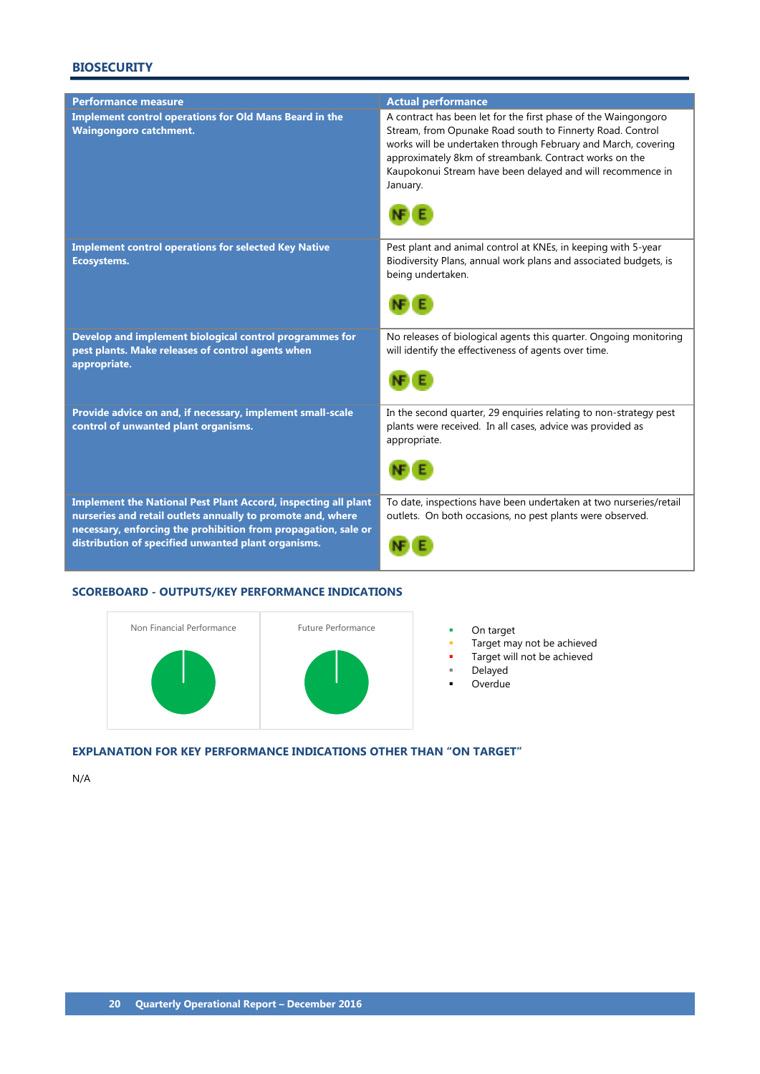# **BIOSECURITY**

| <b>Performance measure</b>                                                                                                                                                                                                                             | <b>Actual performance</b>                                                                                                                                                                                                                                                                                                        |
|--------------------------------------------------------------------------------------------------------------------------------------------------------------------------------------------------------------------------------------------------------|----------------------------------------------------------------------------------------------------------------------------------------------------------------------------------------------------------------------------------------------------------------------------------------------------------------------------------|
| <b>Implement control operations for Old Mans Beard in the</b><br><b>Waingongoro catchment.</b>                                                                                                                                                         | A contract has been let for the first phase of the Waingongoro<br>Stream, from Opunake Road south to Finnerty Road. Control<br>works will be undertaken through February and March, covering<br>approximately 8km of streambank. Contract works on the<br>Kaupokonui Stream have been delayed and will recommence in<br>January. |
| <b>Implement control operations for selected Key Native</b><br><b>Ecosystems.</b>                                                                                                                                                                      | Pest plant and animal control at KNEs, in keeping with 5-year<br>Biodiversity Plans, annual work plans and associated budgets, is<br>being undertaken.                                                                                                                                                                           |
| Develop and implement biological control programmes for<br>pest plants. Make releases of control agents when<br>appropriate.                                                                                                                           | No releases of biological agents this quarter. Ongoing monitoring<br>will identify the effectiveness of agents over time.                                                                                                                                                                                                        |
| Provide advice on and, if necessary, implement small-scale<br>control of unwanted plant organisms.                                                                                                                                                     | In the second quarter, 29 enquiries relating to non-strategy pest<br>plants were received. In all cases, advice was provided as<br>appropriate.                                                                                                                                                                                  |
| Implement the National Pest Plant Accord, inspecting all plant<br>nurseries and retail outlets annually to promote and, where<br>necessary, enforcing the prohibition from propagation, sale or<br>distribution of specified unwanted plant organisms. | To date, inspections have been undertaken at two nurseries/retail<br>outlets. On both occasions, no pest plants were observed.                                                                                                                                                                                                   |

# **SCOREBOARD - OUTPUTS/KEY PERFORMANCE INDICATIONS**



- 
- On target<br>• Target may not be achieved
- **Target will not be achieved**
- Delayed
- **D**verdue

# **EXPLANATION FOR KEY PERFORMANCE INDICATIONS OTHER THAN "ON TARGET"**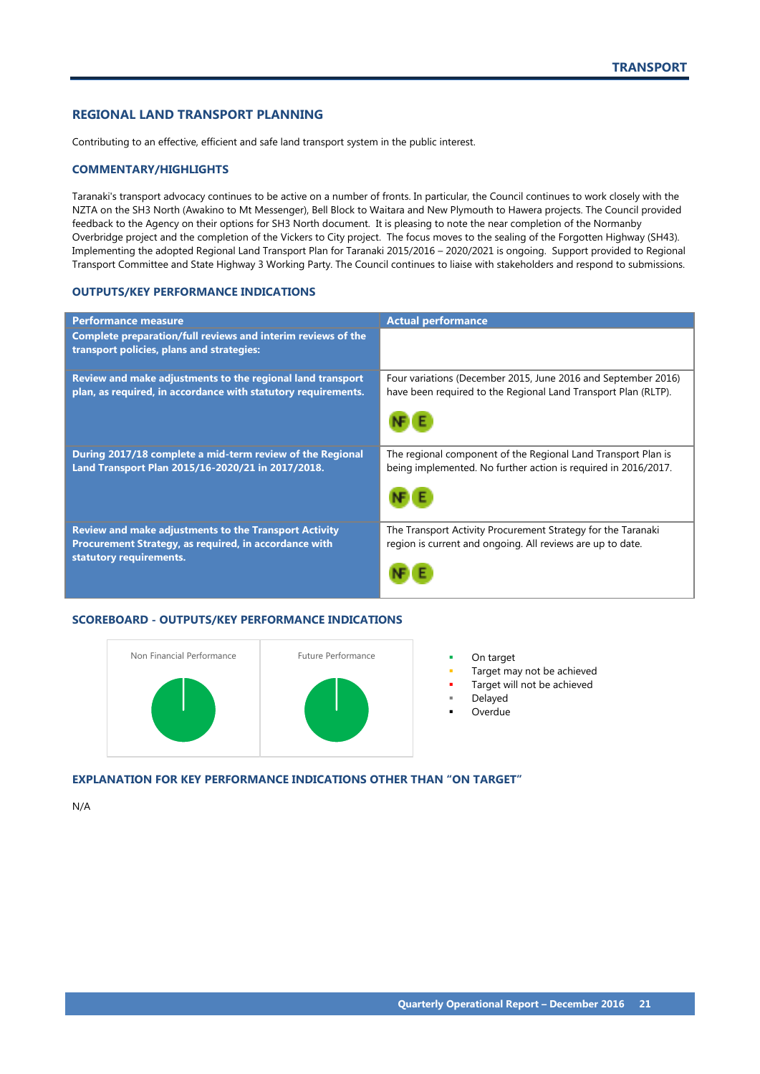# <span id="page-22-0"></span>**REGIONAL LAND TRANSPORT PLANNING**

Contributing to an effective, efficient and safe land transport system in the public interest.

## **COMMENTARY/HIGHLIGHTS**

Taranaki's transport advocacy continues to be active on a number of fronts. In particular, the Council continues to work closely with the NZTA on the SH3 North (Awakino to Mt Messenger), Bell Block to Waitara and New Plymouth to Hawera projects. The Council provided feedback to the Agency on their options for SH3 North document. It is pleasing to note the near completion of the Normanby Overbridge project and the completion of the Vickers to City project. The focus moves to the sealing of the Forgotten Highway (SH43). Implementing the adopted Regional Land Transport Plan for Taranaki 2015/2016 – 2020/2021 is ongoing. Support provided to Regional Transport Committee and State Highway 3 Working Party. The Council continues to liaise with stakeholders and respond to submissions.

# **OUTPUTS/KEY PERFORMANCE INDICATIONS**

| <b>Performance measure</b>                                                                                                                       | <b>Actual performance</b>                                                                                                       |
|--------------------------------------------------------------------------------------------------------------------------------------------------|---------------------------------------------------------------------------------------------------------------------------------|
| Complete preparation/full reviews and interim reviews of the<br>transport policies, plans and strategies:                                        |                                                                                                                                 |
| Review and make adjustments to the regional land transport<br>plan, as required, in accordance with statutory requirements.                      | Four variations (December 2015, June 2016 and September 2016)<br>have been required to the Regional Land Transport Plan (RLTP). |
| During 2017/18 complete a mid-term review of the Regional<br>Land Transport Plan 2015/16-2020/21 in 2017/2018.                                   | The regional component of the Regional Land Transport Plan is<br>being implemented. No further action is required in 2016/2017. |
| <b>Review and make adjustments to the Transport Activity</b><br>Procurement Strategy, as required, in accordance with<br>statutory requirements. | The Transport Activity Procurement Strategy for the Taranaki<br>region is current and ongoing. All reviews are up to date.      |

#### **SCOREBOARD - OUTPUTS/KEY PERFORMANCE INDICATIONS**



- 
- Target may not be achieved
- Target will not be achieved
- Delayed
- Overdue

# **EXPLANATION FOR KEY PERFORMANCE INDICATIONS OTHER THAN "ON TARGET"**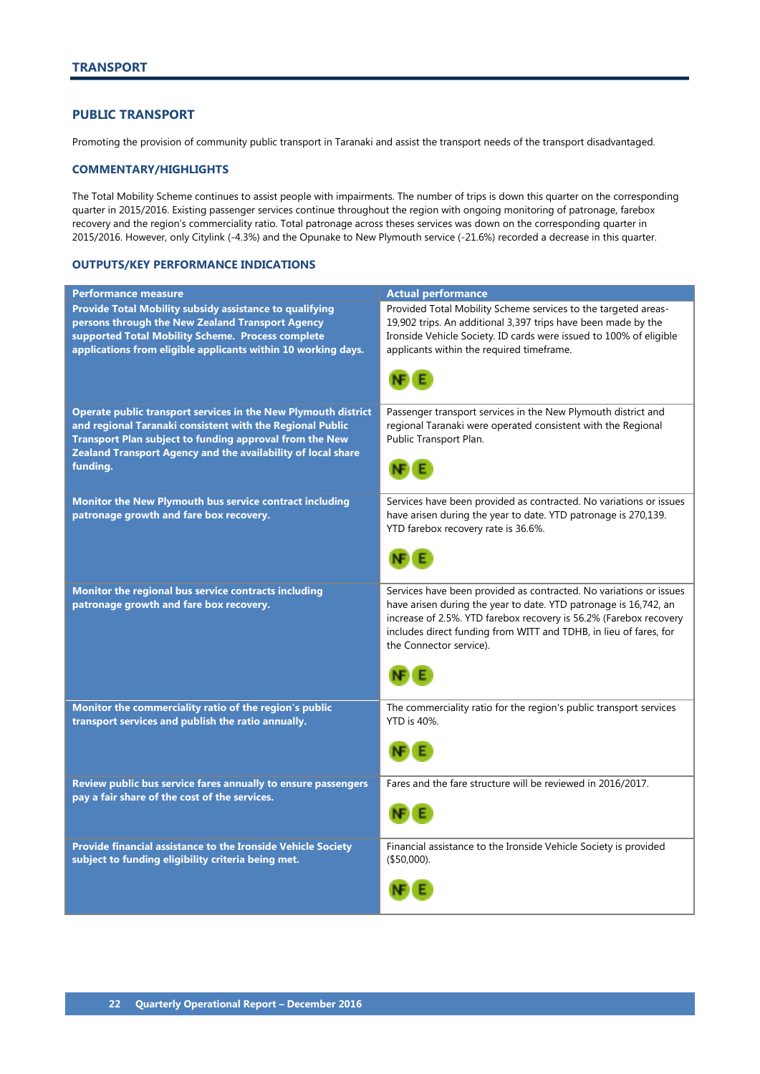# <span id="page-23-0"></span>**PUBLIC TRANSPORT**

Promoting the provision of community public transport in Taranaki and assist the transport needs of the transport disadvantaged.

# **COMMENTARY/HIGHLIGHTS**

The Total Mobility Scheme continues to assist people with impairments. The number of trips is down this quarter on the corresponding quarter in 2015/2016. Existing passenger services continue throughout the region with ongoing monitoring of patronage, farebox recovery and the region's commerciality ratio. Total patronage across theses services was down on the corresponding quarter in 2015/2016. However, only Citylink (-4.3%) and the Opunake to New Plymouth service (-21.6%) recorded a decrease in this quarter.

| <b>Performance measure</b>                                                                      | <b>Actual performance</b>                                                                                                              |
|-------------------------------------------------------------------------------------------------|----------------------------------------------------------------------------------------------------------------------------------------|
| Provide Total Mobility subsidy assistance to qualifying                                         | Provided Total Mobility Scheme services to the targeted areas-                                                                         |
| persons through the New Zealand Transport Agency                                                | 19,902 trips. An additional 3,397 trips have been made by the                                                                          |
| supported Total Mobility Scheme. Process complete                                               | Ironside Vehicle Society. ID cards were issued to 100% of eligible                                                                     |
| applications from eligible applicants within 10 working days.                                   | applicants within the required timeframe.                                                                                              |
|                                                                                                 | NF E                                                                                                                                   |
| Operate public transport services in the New Plymouth district                                  | Passenger transport services in the New Plymouth district and                                                                          |
| and regional Taranaki consistent with the Regional Public                                       | regional Taranaki were operated consistent with the Regional                                                                           |
| Transport Plan subject to funding approval from the New                                         | Public Transport Plan.                                                                                                                 |
| Zealand Transport Agency and the availability of local share                                    |                                                                                                                                        |
| funding.                                                                                        |                                                                                                                                        |
|                                                                                                 |                                                                                                                                        |
| Monitor the New Plymouth bus service contract including                                         | Services have been provided as contracted. No variations or issues                                                                     |
| patronage growth and fare box recovery.                                                         | have arisen during the year to date. YTD patronage is 270,139.                                                                         |
|                                                                                                 | YTD farebox recovery rate is 36.6%.                                                                                                    |
|                                                                                                 |                                                                                                                                        |
|                                                                                                 |                                                                                                                                        |
|                                                                                                 |                                                                                                                                        |
| Monitor the regional bus service contracts including<br>patronage growth and fare box recovery. | Services have been provided as contracted. No variations or issues<br>have arisen during the year to date. YTD patronage is 16,742, an |
|                                                                                                 | increase of 2.5%. YTD farebox recovery is 56.2% (Farebox recovery                                                                      |
|                                                                                                 | includes direct funding from WITT and TDHB, in lieu of fares, for                                                                      |
|                                                                                                 | the Connector service).                                                                                                                |
|                                                                                                 |                                                                                                                                        |
|                                                                                                 |                                                                                                                                        |
|                                                                                                 |                                                                                                                                        |
| Monitor the commerciality ratio of the region's public                                          | The commerciality ratio for the region's public transport services<br><b>YTD</b> is 40%.                                               |
| transport services and publish the ratio annually.                                              |                                                                                                                                        |
|                                                                                                 |                                                                                                                                        |
|                                                                                                 |                                                                                                                                        |
| Review public bus service fares annually to ensure passengers                                   | Fares and the fare structure will be reviewed in 2016/2017.                                                                            |
| pay a fair share of the cost of the services.                                                   |                                                                                                                                        |
|                                                                                                 |                                                                                                                                        |
|                                                                                                 |                                                                                                                                        |
| Provide financial assistance to the Ironside Vehicle Society                                    | Financial assistance to the Ironside Vehicle Society is provided                                                                       |
| subject to funding eligibility criteria being met.                                              | (\$50,000).                                                                                                                            |
|                                                                                                 |                                                                                                                                        |
|                                                                                                 |                                                                                                                                        |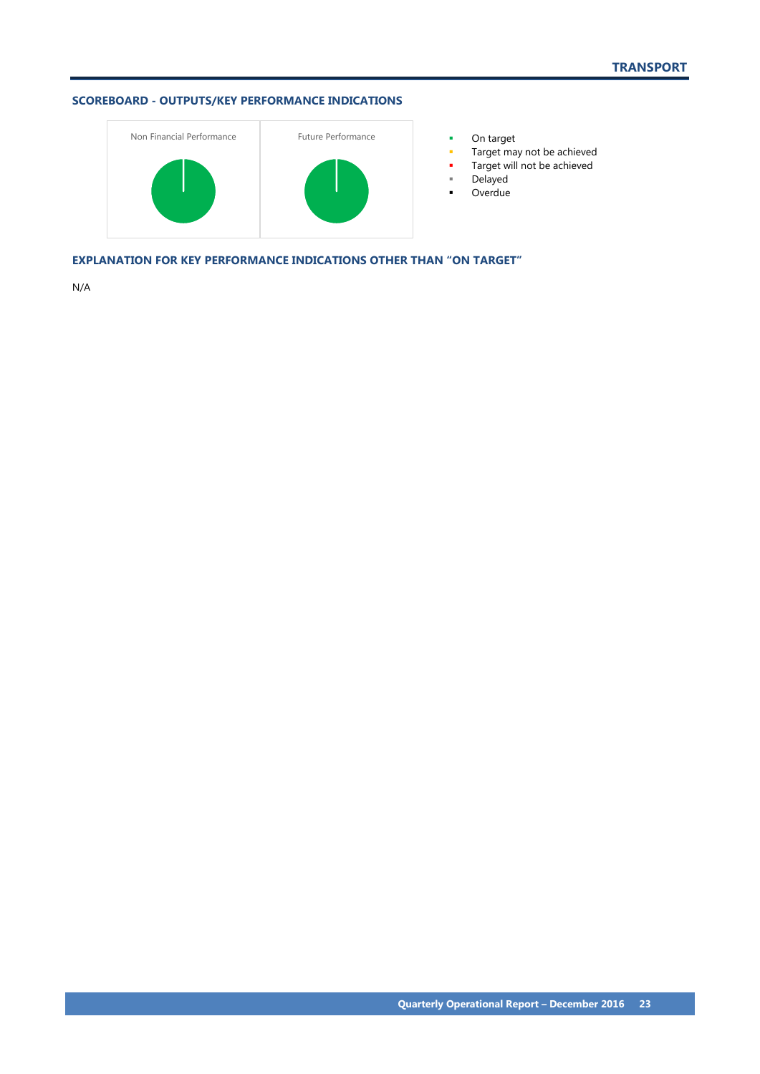

- 
- Target may not be achieved
- **Target will not be achieved**
- Delayed
- **-** Overdue

**EXPLANATION FOR KEY PERFORMANCE INDICATIONS OTHER THAN "ON TARGET"**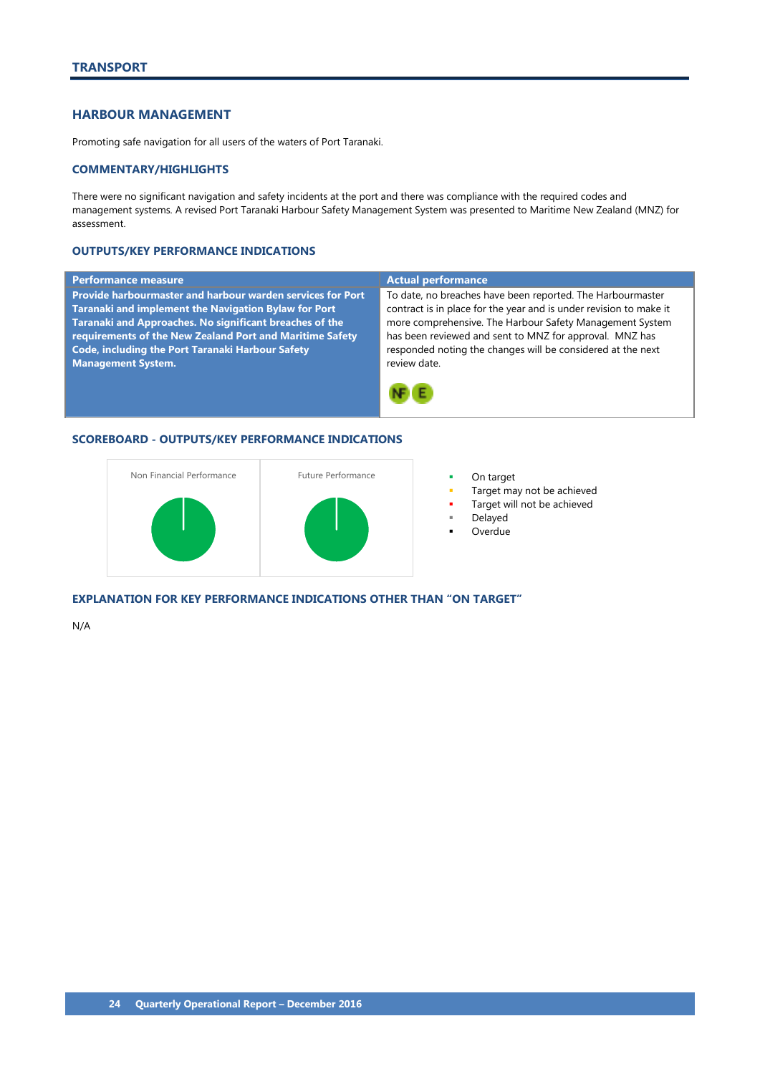# <span id="page-25-0"></span>**HARBOUR MANAGEMENT**

Promoting safe navigation for all users of the waters of Port Taranaki.

# **COMMENTARY/HIGHLIGHTS**

There were no significant navigation and safety incidents at the port and there was compliance with the required codes and management systems. A revised Port Taranaki Harbour Safety Management System was presented to Maritime New Zealand (MNZ) for assessment.

# **OUTPUTS/KEY PERFORMANCE INDICATIONS**

#### **Performance measure Actual performance Actual performance Provide harbourmaster and harbour warden services for Port**  To date, no breaches have been reported. The Harbourmaster **Taranaki and implement the Navigation Bylaw for Port**  contract is in place for the year and is under revision to make it **Taranaki and Approaches. No significant breaches of the**  more comprehensive. The Harbour Safety Management System **requirements of the New Zealand Port and Maritime Safety**  has been reviewed and sent to MNZ for approval. MNZ has **Code, including the Port Taranaki Harbour Safety**  responded noting the changes will be considered at the next **Management System.** review date. NF E

### **SCOREBOARD - OUTPUTS/KEY PERFORMANCE INDICATIONS**



- 
- Target may not be achieved
- Target will not be achieved
- Delayed
- **Overdue**

**EXPLANATION FOR KEY PERFORMANCE INDICATIONS OTHER THAN "ON TARGET"**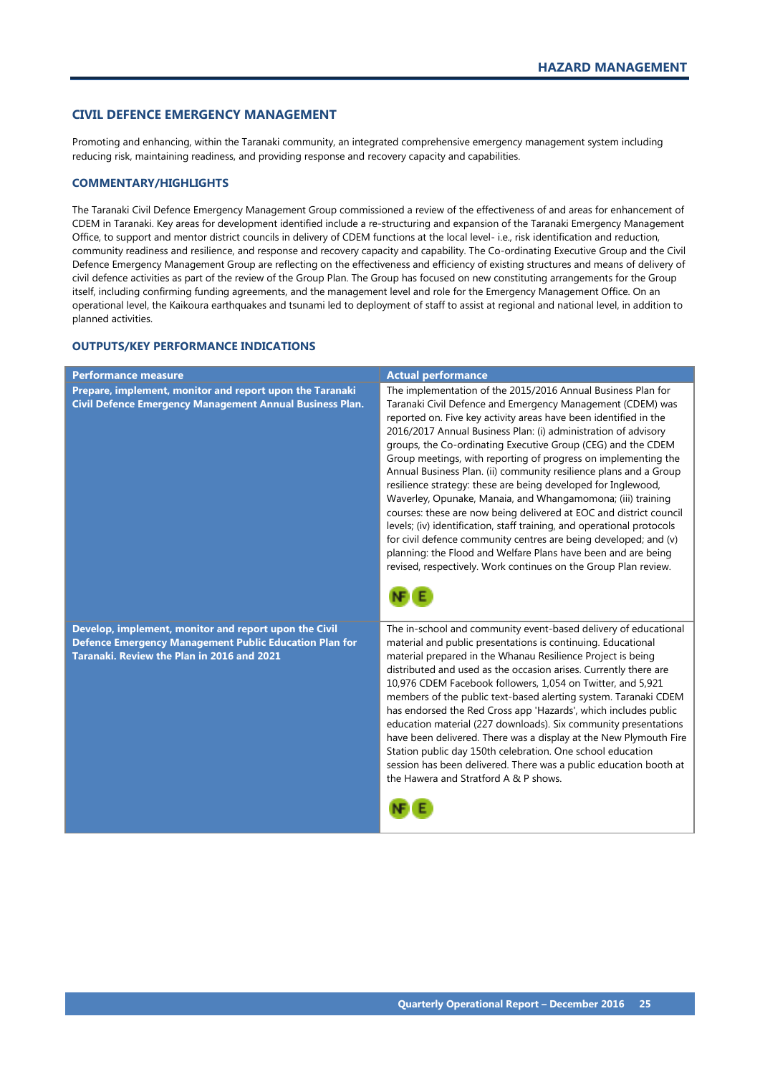# <span id="page-26-0"></span>**CIVIL DEFENCE EMERGENCY MANAGEMENT**

Promoting and enhancing, within the Taranaki community, an integrated comprehensive emergency management system including reducing risk, maintaining readiness, and providing response and recovery capacity and capabilities.

# **COMMENTARY/HIGHLIGHTS**

The Taranaki Civil Defence Emergency Management Group commissioned a review of the effectiveness of and areas for enhancement of CDEM in Taranaki. Key areas for development identified include a re-structuring and expansion of the Taranaki Emergency Management Office, to support and mentor district councils in delivery of CDEM functions at the local level- i.e., risk identification and reduction, community readiness and resilience, and response and recovery capacity and capability. The Co-ordinating Executive Group and the Civil Defence Emergency Management Group are reflecting on the effectiveness and efficiency of existing structures and means of delivery of civil defence activities as part of the review of the Group Plan. The Group has focused on new constituting arrangements for the Group itself, including confirming funding agreements, and the management level and role for the Emergency Management Office. On an operational level, the Kaikoura earthquakes and tsunami led to deployment of staff to assist at regional and national level, in addition to planned activities.

| <b>Performance measure</b>                                                                                                                                           | <b>Actual performance</b>                                                                                                                                                                                                                                                                                                                                                                                                                                                                                                                                                                                                                                                                                                                                                                                                                                                                                                                                       |
|----------------------------------------------------------------------------------------------------------------------------------------------------------------------|-----------------------------------------------------------------------------------------------------------------------------------------------------------------------------------------------------------------------------------------------------------------------------------------------------------------------------------------------------------------------------------------------------------------------------------------------------------------------------------------------------------------------------------------------------------------------------------------------------------------------------------------------------------------------------------------------------------------------------------------------------------------------------------------------------------------------------------------------------------------------------------------------------------------------------------------------------------------|
| Prepare, implement, monitor and report upon the Taranaki<br>Civil Defence Emergency Management Annual Business Plan.                                                 | The implementation of the 2015/2016 Annual Business Plan for<br>Taranaki Civil Defence and Emergency Management (CDEM) was<br>reported on. Five key activity areas have been identified in the<br>2016/2017 Annual Business Plan: (i) administration of advisory<br>groups, the Co-ordinating Executive Group (CEG) and the CDEM<br>Group meetings, with reporting of progress on implementing the<br>Annual Business Plan. (ii) community resilience plans and a Group<br>resilience strategy: these are being developed for Inglewood,<br>Waverley, Opunake, Manaia, and Whangamomona; (iii) training<br>courses: these are now being delivered at EOC and district council<br>levels; (iv) identification, staff training, and operational protocols<br>for civil defence community centres are being developed; and (v)<br>planning: the Flood and Welfare Plans have been and are being<br>revised, respectively. Work continues on the Group Plan review. |
| Develop, implement, monitor and report upon the Civil<br><b>Defence Emergency Management Public Education Plan for</b><br>Taranaki. Review the Plan in 2016 and 2021 | The in-school and community event-based delivery of educational<br>material and public presentations is continuing. Educational<br>material prepared in the Whanau Resilience Project is being<br>distributed and used as the occasion arises. Currently there are<br>10,976 CDEM Facebook followers, 1,054 on Twitter, and 5,921<br>members of the public text-based alerting system. Taranaki CDEM<br>has endorsed the Red Cross app 'Hazards', which includes public<br>education material (227 downloads). Six community presentations<br>have been delivered. There was a display at the New Plymouth Fire<br>Station public day 150th celebration. One school education<br>session has been delivered. There was a public education booth at<br>the Hawera and Stratford A & P shows.                                                                                                                                                                     |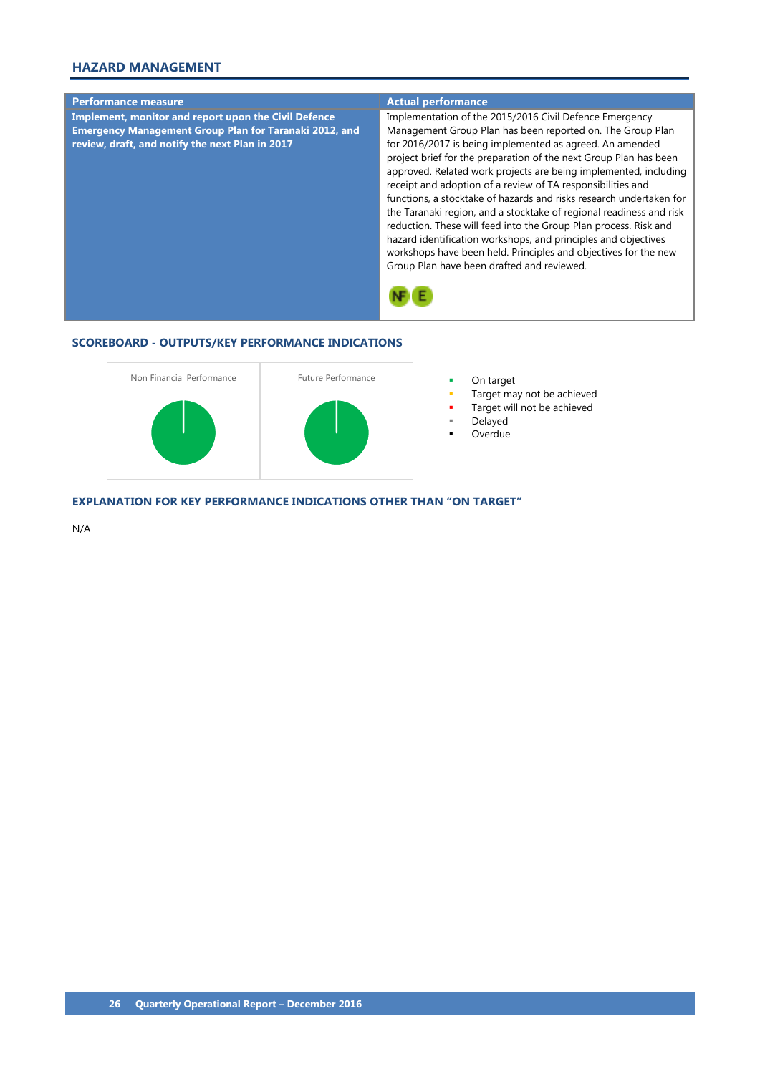# **HAZARD MANAGEMENT**



# **SCOREBOARD - OUTPUTS/KEY PERFORMANCE INDICATIONS**



- 
- Target may not be achieved
- Target will not be achieved
	- Delayed
- **Overdue**

### **EXPLANATION FOR KEY PERFORMANCE INDICATIONS OTHER THAN "ON TARGET"**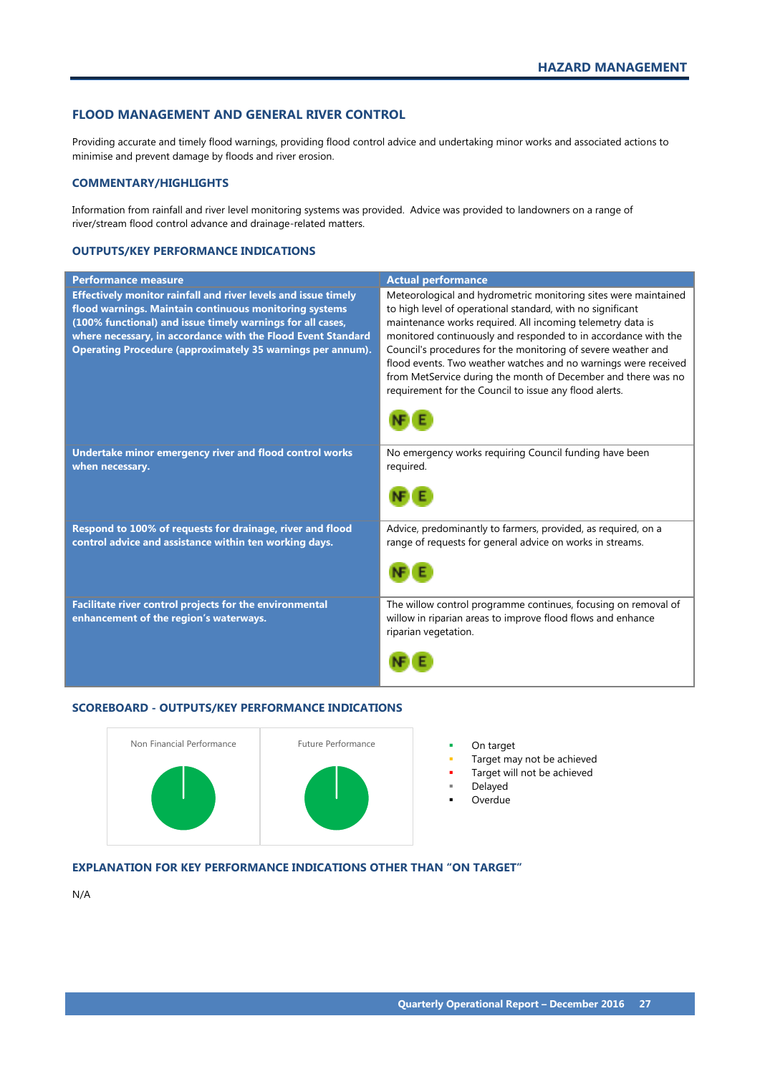# <span id="page-28-0"></span>**FLOOD MANAGEMENT AND GENERAL RIVER CONTROL**

Providing accurate and timely flood warnings, providing flood control advice and undertaking minor works and associated actions to minimise and prevent damage by floods and river erosion.

# **COMMENTARY/HIGHLIGHTS**

Information from rainfall and river level monitoring systems was provided. Advice was provided to landowners on a range of river/stream flood control advance and drainage-related matters.

# **OUTPUTS/KEY PERFORMANCE INDICATIONS**

| <b>Performance measure</b>                                                                                                                                                                                                                                                                                                  | <b>Actual performance</b>                                                                                                                                                                                                                                                                                                                                                                                                                                                                                                    |
|-----------------------------------------------------------------------------------------------------------------------------------------------------------------------------------------------------------------------------------------------------------------------------------------------------------------------------|------------------------------------------------------------------------------------------------------------------------------------------------------------------------------------------------------------------------------------------------------------------------------------------------------------------------------------------------------------------------------------------------------------------------------------------------------------------------------------------------------------------------------|
| Effectively monitor rainfall and river levels and issue timely<br>flood warnings. Maintain continuous monitoring systems<br>(100% functional) and issue timely warnings for all cases,<br>where necessary, in accordance with the Flood Event Standard<br><b>Operating Procedure (approximately 35 warnings per annum).</b> | Meteorological and hydrometric monitoring sites were maintained<br>to high level of operational standard, with no significant<br>maintenance works required. All incoming telemetry data is<br>monitored continuously and responded to in accordance with the<br>Council's procedures for the monitoring of severe weather and<br>flood events. Two weather watches and no warnings were received<br>from MetService during the month of December and there was no<br>requirement for the Council to issue any flood alerts. |
| Undertake minor emergency river and flood control works<br>when necessary.                                                                                                                                                                                                                                                  | No emergency works requiring Council funding have been<br>required.                                                                                                                                                                                                                                                                                                                                                                                                                                                          |
| Respond to 100% of requests for drainage, river and flood<br>control advice and assistance within ten working days.                                                                                                                                                                                                         | Advice, predominantly to farmers, provided, as required, on a<br>range of requests for general advice on works in streams.                                                                                                                                                                                                                                                                                                                                                                                                   |
| Facilitate river control projects for the environmental<br>enhancement of the region's waterways.                                                                                                                                                                                                                           | The willow control programme continues, focusing on removal of<br>willow in riparian areas to improve flood flows and enhance<br>riparian vegetation.                                                                                                                                                                                                                                                                                                                                                                        |

# **SCOREBOARD - OUTPUTS/KEY PERFORMANCE INDICATIONS**



- 
- Target may not be achieved
- Target will not be achieved
- Delayed **Overdue**
- **EXPLANATION FOR KEY PERFORMANCE INDICATIONS OTHER THAN "ON TARGET"**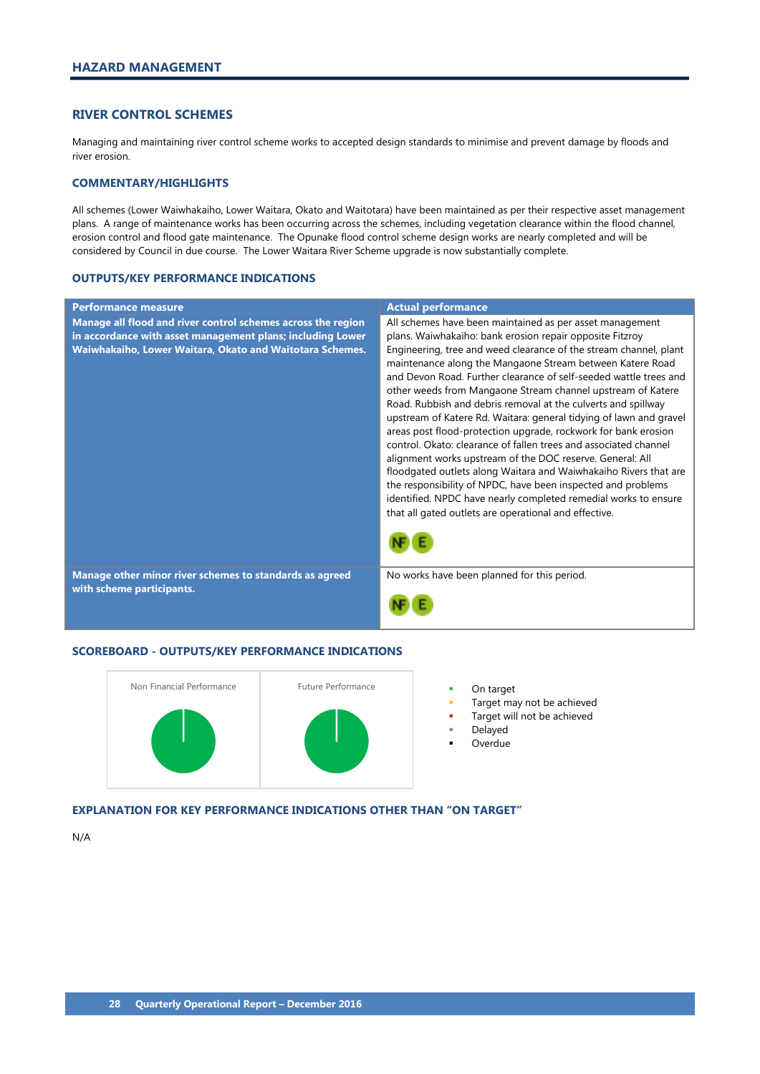# <span id="page-29-0"></span>**RIVER CONTROL SCHEMES**

Managing and maintaining river control scheme works to accepted design standards to minimise and prevent damage by floods and river erosion.

# **COMMENTARY/HIGHLIGHTS**

All schemes (Lower Waiwhakaiho, Lower Waitara, Okato and Waitotara) have been maintained as per their respective asset management plans. A range of maintenance works has been occurring across the schemes, including vegetation clearance within the flood channel, erosion control and flood gate maintenance. The Opunake flood control scheme design works are nearly completed and will be considered by Council in due course. The Lower Waitara River Scheme upgrade is now substantially complete.

### **OUTPUTS/KEY PERFORMANCE INDICATIONS**

| <b>Performance measure</b>                                                                                                                                                             | <b>Actual performance</b>                                                                                                                                                                                                                                                                                                                                                                                                                                                                                                                                                                                                                                                                                                                                                                                                                                                                                                                                                                            |
|----------------------------------------------------------------------------------------------------------------------------------------------------------------------------------------|------------------------------------------------------------------------------------------------------------------------------------------------------------------------------------------------------------------------------------------------------------------------------------------------------------------------------------------------------------------------------------------------------------------------------------------------------------------------------------------------------------------------------------------------------------------------------------------------------------------------------------------------------------------------------------------------------------------------------------------------------------------------------------------------------------------------------------------------------------------------------------------------------------------------------------------------------------------------------------------------------|
| Manage all flood and river control schemes across the region<br>in accordance with asset management plans; including Lower<br>Waiwhakaiho, Lower Waitara, Okato and Waitotara Schemes. | All schemes have been maintained as per asset management<br>plans. Waiwhakaiho: bank erosion repair opposite Fitzroy<br>Engineering, tree and weed clearance of the stream channel, plant<br>maintenance along the Mangaone Stream between Katere Road<br>and Devon Road. Further clearance of self-seeded wattle trees and<br>other weeds from Mangaone Stream channel upstream of Katere<br>Road. Rubbish and debris removal at the culverts and spillway<br>upstream of Katere Rd. Waitara: general tidying of lawn and gravel<br>areas post flood-protection upgrade, rockwork for bank erosion<br>control. Okato: clearance of fallen trees and associated channel<br>alignment works upstream of the DOC reserve. General: All<br>floodgated outlets along Waitara and Waiwhakaiho Rivers that are<br>the responsibility of NPDC, have been inspected and problems<br>identified. NPDC have nearly completed remedial works to ensure<br>that all gated outlets are operational and effective. |
|                                                                                                                                                                                        |                                                                                                                                                                                                                                                                                                                                                                                                                                                                                                                                                                                                                                                                                                                                                                                                                                                                                                                                                                                                      |
| Manage other minor river schemes to standards as agreed<br>with scheme participants.                                                                                                   | No works have been planned for this period.                                                                                                                                                                                                                                                                                                                                                                                                                                                                                                                                                                                                                                                                                                                                                                                                                                                                                                                                                          |
|                                                                                                                                                                                        |                                                                                                                                                                                                                                                                                                                                                                                                                                                                                                                                                                                                                                                                                                                                                                                                                                                                                                                                                                                                      |

# **SCOREBOARD - OUTPUTS/KEY PERFORMANCE INDICATIONS**



- 
- Target may not be achieved
- Target will not be achieved
- Delayed
- Overdue

### **EXPLANATION FOR KEY PERFORMANCE INDICATIONS OTHER THAN "ON TARGET"**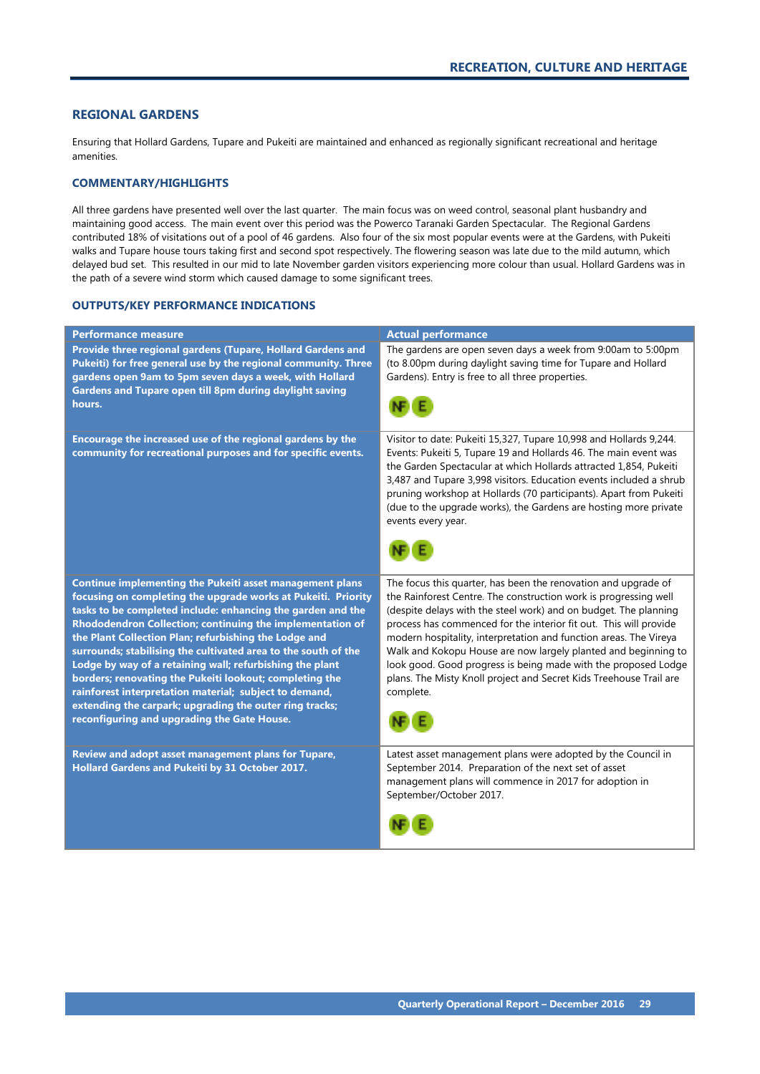# <span id="page-30-0"></span>**REGIONAL GARDENS**

Ensuring that Hollard Gardens, Tupare and Pukeiti are maintained and enhanced as regionally significant recreational and heritage amenities.

# **COMMENTARY/HIGHLIGHTS**

All three gardens have presented well over the last quarter. The main focus was on weed control, seasonal plant husbandry and maintaining good access. The main event over this period was the Powerco Taranaki Garden Spectacular. The Regional Gardens contributed 18% of visitations out of a pool of 46 gardens. Also four of the six most popular events were at the Gardens, with Pukeiti walks and Tupare house tours taking first and second spot respectively. The flowering season was late due to the mild autumn, which delayed bud set. This resulted in our mid to late November garden visitors experiencing more colour than usual. Hollard Gardens was in the path of a severe wind storm which caused damage to some significant trees.

| <b>Performance measure</b>                                                                                                                                                                                                                                                                                                                                                                                                                                                                                                                                                                                                                                                  | <b>Actual performance</b>                                                                                                                                                                                                                                                                                                                                                                                                                                                                                                                                               |
|-----------------------------------------------------------------------------------------------------------------------------------------------------------------------------------------------------------------------------------------------------------------------------------------------------------------------------------------------------------------------------------------------------------------------------------------------------------------------------------------------------------------------------------------------------------------------------------------------------------------------------------------------------------------------------|-------------------------------------------------------------------------------------------------------------------------------------------------------------------------------------------------------------------------------------------------------------------------------------------------------------------------------------------------------------------------------------------------------------------------------------------------------------------------------------------------------------------------------------------------------------------------|
| Provide three regional gardens (Tupare, Hollard Gardens and<br>Pukeiti) for free general use by the regional community. Three<br>gardens open 9am to 5pm seven days a week, with Hollard<br>Gardens and Tupare open till 8pm during daylight saving<br>hours.                                                                                                                                                                                                                                                                                                                                                                                                               | The gardens are open seven days a week from 9:00am to 5:00pm<br>(to 8.00pm during daylight saving time for Tupare and Hollard<br>Gardens). Entry is free to all three properties.                                                                                                                                                                                                                                                                                                                                                                                       |
| Encourage the increased use of the regional gardens by the<br>community for recreational purposes and for specific events.                                                                                                                                                                                                                                                                                                                                                                                                                                                                                                                                                  | Visitor to date: Pukeiti 15,327, Tupare 10,998 and Hollards 9,244.<br>Events: Pukeiti 5, Tupare 19 and Hollards 46. The main event was<br>the Garden Spectacular at which Hollards attracted 1,854, Pukeiti<br>3,487 and Tupare 3,998 visitors. Education events included a shrub<br>pruning workshop at Hollards (70 participants). Apart from Pukeiti<br>(due to the upgrade works), the Gardens are hosting more private<br>events every year.                                                                                                                       |
| Continue implementing the Pukeiti asset management plans<br>focusing on completing the upgrade works at Pukeiti. Priority<br>tasks to be completed include: enhancing the garden and the<br>Rhododendron Collection; continuing the implementation of<br>the Plant Collection Plan; refurbishing the Lodge and<br>surrounds; stabilising the cultivated area to the south of the<br>Lodge by way of a retaining wall; refurbishing the plant<br>borders; renovating the Pukeiti lookout; completing the<br>rainforest interpretation material; subject to demand,<br>extending the carpark; upgrading the outer ring tracks;<br>reconfiguring and upgrading the Gate House. | The focus this quarter, has been the renovation and upgrade of<br>the Rainforest Centre. The construction work is progressing well<br>(despite delays with the steel work) and on budget. The planning<br>process has commenced for the interior fit out. This will provide<br>modern hospitality, interpretation and function areas. The Vireya<br>Walk and Kokopu House are now largely planted and beginning to<br>look good. Good progress is being made with the proposed Lodge<br>plans. The Misty Knoll project and Secret Kids Treehouse Trail are<br>complete. |
| Review and adopt asset management plans for Tupare,<br>Hollard Gardens and Pukeiti by 31 October 2017.                                                                                                                                                                                                                                                                                                                                                                                                                                                                                                                                                                      | Latest asset management plans were adopted by the Council in<br>September 2014. Preparation of the next set of asset<br>management plans will commence in 2017 for adoption in<br>September/October 2017.                                                                                                                                                                                                                                                                                                                                                               |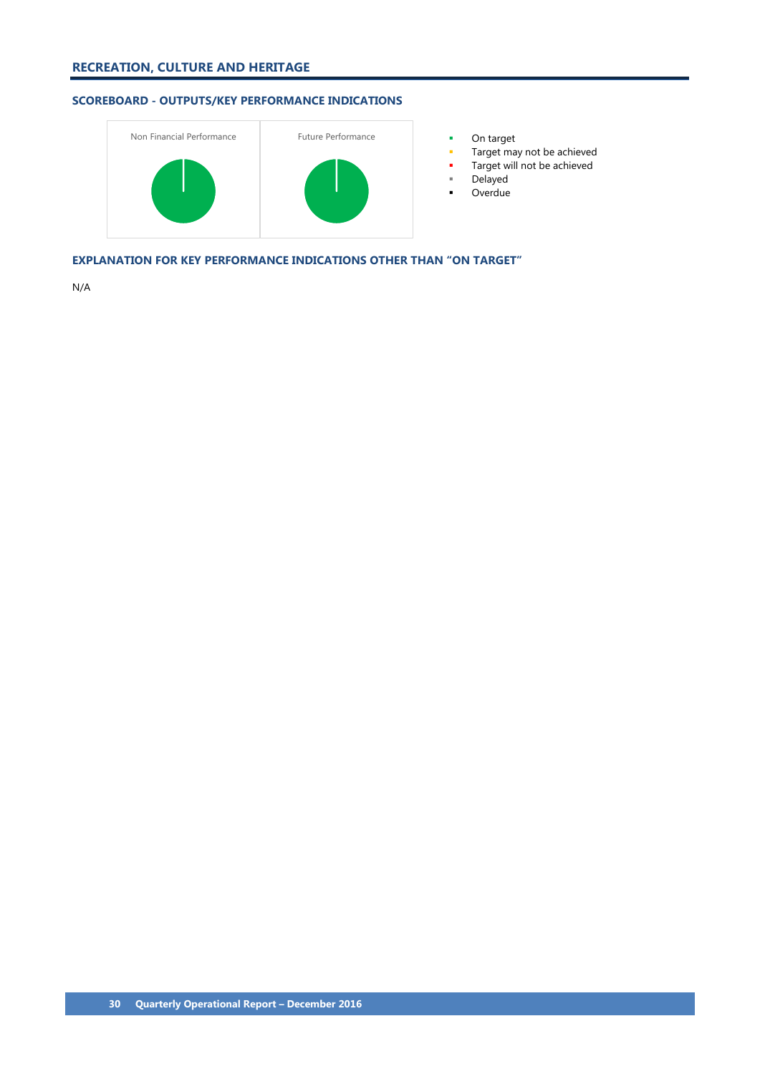

- 
- Target may not be achieved
- Target will not be achieved
- Delayed
- **-** Overdue

**EXPLANATION FOR KEY PERFORMANCE INDICATIONS OTHER THAN "ON TARGET"**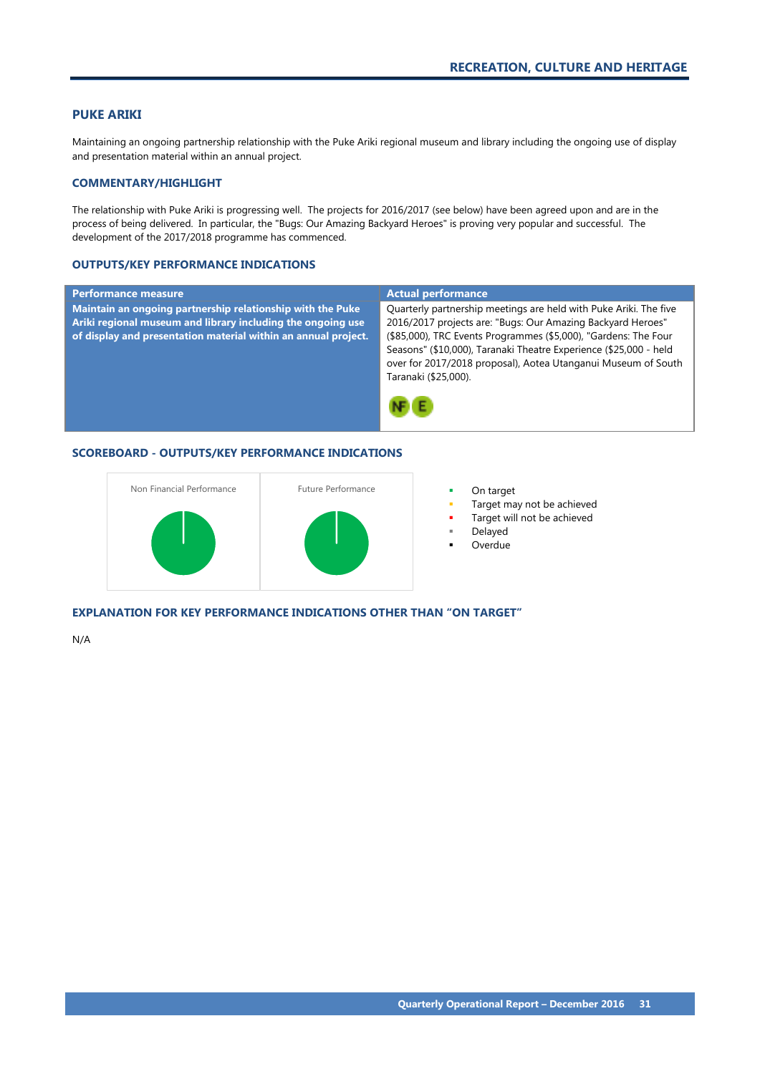# <span id="page-32-0"></span>**PUKE ARIKI**

Maintaining an ongoing partnership relationship with the Puke Ariki regional museum and library including the ongoing use of display and presentation material within an annual project.

# **COMMENTARY/HIGHLIGHT**

The relationship with Puke Ariki is progressing well. The projects for 2016/2017 (see below) have been agreed upon and are in the process of being delivered. In particular, the "Bugs: Our Amazing Backyard Heroes" is proving very popular and successful. The development of the 2017/2018 programme has commenced.

### **OUTPUTS/KEY PERFORMANCE INDICATIONS**

| <b>Performance measure</b>                                                                                                                                                                  | <b>Actual performance</b>                                                                                                                                                                                                                                                                                                                                         |
|---------------------------------------------------------------------------------------------------------------------------------------------------------------------------------------------|-------------------------------------------------------------------------------------------------------------------------------------------------------------------------------------------------------------------------------------------------------------------------------------------------------------------------------------------------------------------|
| Maintain an ongoing partnership relationship with the Puke<br>Ariki regional museum and library including the ongoing use<br>of display and presentation material within an annual project. | Quarterly partnership meetings are held with Puke Ariki. The five<br>2016/2017 projects are: "Bugs: Our Amazing Backyard Heroes"<br>(\$85,000), TRC Events Programmes (\$5,000), "Gardens: The Four<br>Seasons" (\$10,000), Taranaki Theatre Experience (\$25,000 - held<br>over for 2017/2018 proposal), Aotea Utanganui Museum of South<br>Taranaki (\$25,000). |

# **SCOREBOARD - OUTPUTS/KEY PERFORMANCE INDICATIONS**



- 
- Target may not be achieved
- Target will not be achieved
- Delayed
- Overdue

**EXPLANATION FOR KEY PERFORMANCE INDICATIONS OTHER THAN "ON TARGET"**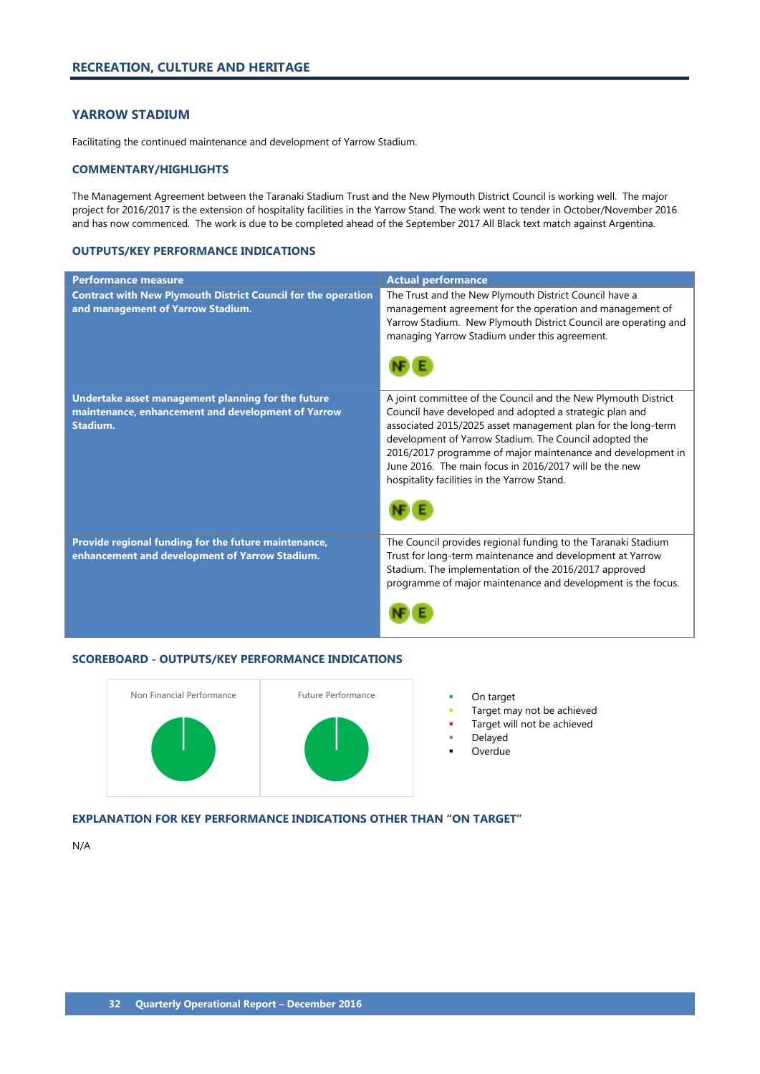# <span id="page-33-0"></span>**YARROW STADIUM**

Facilitating the continued maintenance and development of Yarrow Stadium.

# **COMMENTARY/HIGHLIGHTS**

The Management Agreement between the Taranaki Stadium Trust and the New Plymouth District Council is working well. The major project for 2016/2017 is the extension of hospitality facilities in the Yarrow Stand. The work went to tender in October/November 2016 and has now commenced. The work is due to be completed ahead of the September 2017 All Black text match against Argentina.

# **OUTPUTS/KEY PERFORMANCE INDICATIONS**

| <b>Performance measure</b>                                                                                           | <b>Actual performance</b>                                                                                                                                                                                                                                                                                                                                                                                                   |
|----------------------------------------------------------------------------------------------------------------------|-----------------------------------------------------------------------------------------------------------------------------------------------------------------------------------------------------------------------------------------------------------------------------------------------------------------------------------------------------------------------------------------------------------------------------|
| <b>Contract with New Plymouth District Council for the operation</b><br>and management of Yarrow Stadium.            | The Trust and the New Plymouth District Council have a<br>management agreement for the operation and management of<br>Yarrow Stadium. New Plymouth District Council are operating and<br>managing Yarrow Stadium under this agreement.                                                                                                                                                                                      |
| Undertake asset management planning for the future<br>maintenance, enhancement and development of Yarrow<br>Stadium. | A joint committee of the Council and the New Plymouth District<br>Council have developed and adopted a strategic plan and<br>associated 2015/2025 asset management plan for the long-term<br>development of Yarrow Stadium. The Council adopted the<br>2016/2017 programme of major maintenance and development in<br>June 2016. The main focus in 2016/2017 will be the new<br>hospitality facilities in the Yarrow Stand. |
| Provide regional funding for the future maintenance,<br>enhancement and development of Yarrow Stadium.               | The Council provides regional funding to the Taranaki Stadium<br>Trust for long-term maintenance and development at Yarrow<br>Stadium. The implementation of the 2016/2017 approved<br>programme of major maintenance and development is the focus.                                                                                                                                                                         |

# **SCOREBOARD - OUTPUTS/KEY PERFORMANCE INDICATIONS**



- Target may not be achieved
- Target will not be achieved
- Delayed
- Overdue

# **EXPLANATION FOR KEY PERFORMANCE INDICATIONS OTHER THAN "ON TARGET"**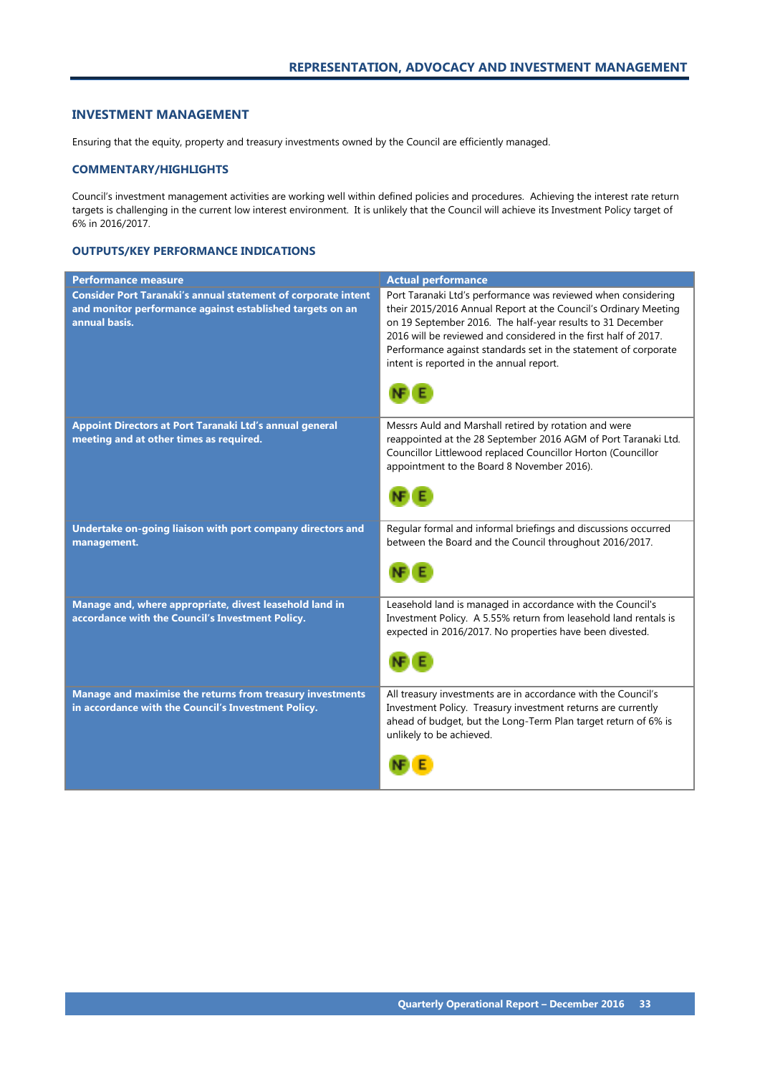# <span id="page-34-0"></span>**INVESTMENT MANAGEMENT**

Ensuring that the equity, property and treasury investments owned by the Council are efficiently managed.

## **COMMENTARY/HIGHLIGHTS**

Council's investment management activities are working well within defined policies and procedures. Achieving the interest rate return targets is challenging in the current low interest environment. It is unlikely that the Council will achieve its Investment Policy target of 6% in 2016/2017.

| <b>Performance measure</b>                                                                                                                         | <b>Actual performance</b>                                                                                                                                                                                                                                                                                                                                                        |
|----------------------------------------------------------------------------------------------------------------------------------------------------|----------------------------------------------------------------------------------------------------------------------------------------------------------------------------------------------------------------------------------------------------------------------------------------------------------------------------------------------------------------------------------|
| <b>Consider Port Taranaki's annual statement of corporate intent</b><br>and monitor performance against established targets on an<br>annual basis. | Port Taranaki Ltd's performance was reviewed when considering<br>their 2015/2016 Annual Report at the Council's Ordinary Meeting<br>on 19 September 2016. The half-year results to 31 December<br>2016 will be reviewed and considered in the first half of 2017.<br>Performance against standards set in the statement of corporate<br>intent is reported in the annual report. |
| Appoint Directors at Port Taranaki Ltd's annual general<br>meeting and at other times as required.                                                 | Messrs Auld and Marshall retired by rotation and were<br>reappointed at the 28 September 2016 AGM of Port Taranaki Ltd.<br>Councillor Littlewood replaced Councillor Horton (Councillor<br>appointment to the Board 8 November 2016).                                                                                                                                            |
| Undertake on-going liaison with port company directors and<br>management.                                                                          | Regular formal and informal briefings and discussions occurred<br>between the Board and the Council throughout 2016/2017.                                                                                                                                                                                                                                                        |
| Manage and, where appropriate, divest leasehold land in<br>accordance with the Council's Investment Policy.                                        | Leasehold land is managed in accordance with the Council's<br>Investment Policy. A 5.55% return from leasehold land rentals is<br>expected in 2016/2017. No properties have been divested.                                                                                                                                                                                       |
| Manage and maximise the returns from treasury investments<br>in accordance with the Council's Investment Policy.                                   | All treasury investments are in accordance with the Council's<br>Investment Policy. Treasury investment returns are currently<br>ahead of budget, but the Long-Term Plan target return of 6% is<br>unlikely to be achieved.                                                                                                                                                      |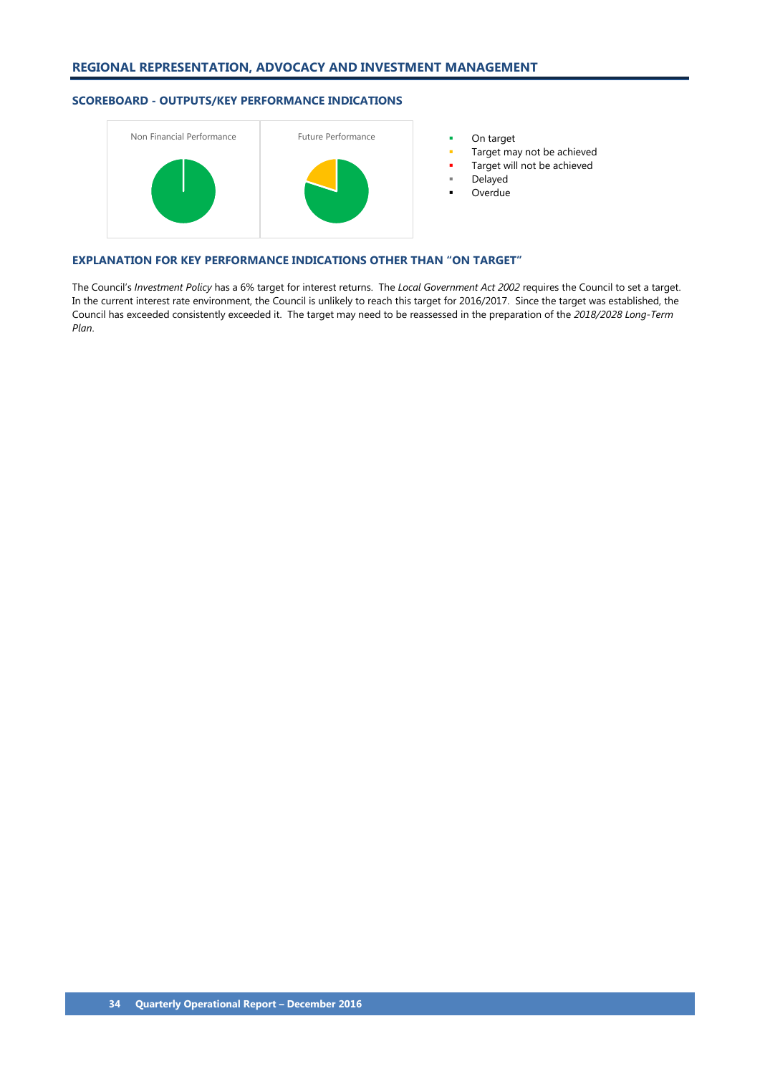

- 
- Target may not be achieved
- Target will not be achieved
- Delayed
- Overdue

### **EXPLANATION FOR KEY PERFORMANCE INDICATIONS OTHER THAN "ON TARGET"**

The Council's *Investment Policy* has a 6% target for interest returns. The *Local Government Act 2002* requires the Council to set a target. In the current interest rate environment, the Council is unlikely to reach this target for 2016/2017. Since the target was established, the Council has exceeded consistently exceeded it. The target may need to be reassessed in the preparation of the *2018/2028 Long-Term Plan*.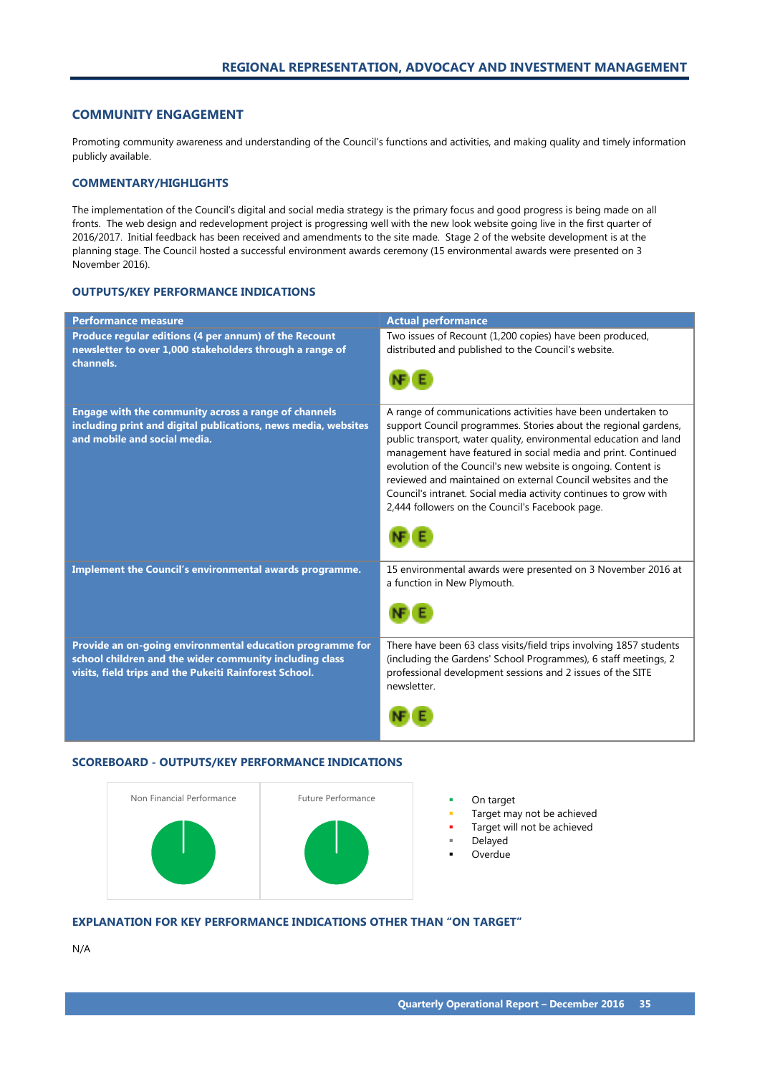# <span id="page-36-0"></span>**COMMUNITY ENGAGEMENT**

Promoting community awareness and understanding of the Council's functions and activities, and making quality and timely information publicly available.

# **COMMENTARY/HIGHLIGHTS**

The implementation of the Council's digital and social media strategy is the primary focus and good progress is being made on all fronts. The web design and redevelopment project is progressing well with the new look website going live in the first quarter of 2016/2017. Initial feedback has been received and amendments to the site made. Stage 2 of the website development is at the planning stage. The Council hosted a successful environment awards ceremony (15 environmental awards were presented on 3 November 2016).

# **OUTPUTS/KEY PERFORMANCE INDICATIONS**

| <b>Performance measure</b>                                                                                                                                                     | <b>Actual performance</b>                                                                                                                                                                                                                                                                                                                                                                                                                                                                                                     |
|--------------------------------------------------------------------------------------------------------------------------------------------------------------------------------|-------------------------------------------------------------------------------------------------------------------------------------------------------------------------------------------------------------------------------------------------------------------------------------------------------------------------------------------------------------------------------------------------------------------------------------------------------------------------------------------------------------------------------|
| Produce regular editions (4 per annum) of the Recount<br>newsletter to over 1,000 stakeholders through a range of<br>channels.                                                 | Two issues of Recount (1,200 copies) have been produced,<br>distributed and published to the Council's website.                                                                                                                                                                                                                                                                                                                                                                                                               |
| Engage with the community across a range of channels<br>including print and digital publications, news media, websites<br>and mobile and social media.                         | A range of communications activities have been undertaken to<br>support Council programmes. Stories about the regional gardens,<br>public transport, water quality, environmental education and land<br>management have featured in social media and print. Continued<br>evolution of the Council's new website is ongoing. Content is<br>reviewed and maintained on external Council websites and the<br>Council's intranet. Social media activity continues to grow with<br>2,444 followers on the Council's Facebook page. |
| Implement the Council's environmental awards programme.                                                                                                                        | 15 environmental awards were presented on 3 November 2016 at<br>a function in New Plymouth.                                                                                                                                                                                                                                                                                                                                                                                                                                   |
| Provide an on-going environmental education programme for<br>school children and the wider community including class<br>visits, field trips and the Pukeiti Rainforest School. | There have been 63 class visits/field trips involving 1857 students<br>(including the Gardens' School Programmes), 6 staff meetings, 2<br>professional development sessions and 2 issues of the SITE<br>newsletter.                                                                                                                                                                                                                                                                                                           |

# **SCOREBOARD - OUTPUTS/KEY PERFORMANCE INDICATIONS**



- 
- Target may not be achieved
- Target will not be achieved
	- Delayed
- Overdue

# **EXPLANATION FOR KEY PERFORMANCE INDICATIONS OTHER THAN "ON TARGET"**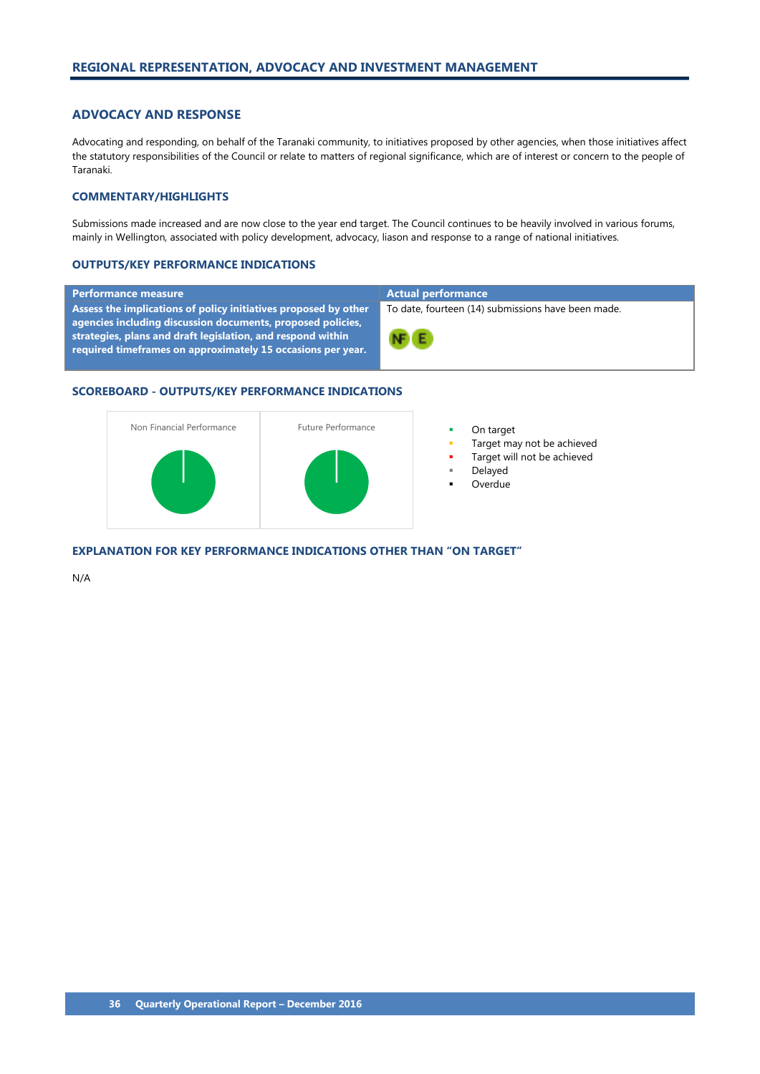# <span id="page-37-0"></span>**ADVOCACY AND RESPONSE**

Advocating and responding, on behalf of the Taranaki community, to initiatives proposed by other agencies, when those initiatives affect the statutory responsibilities of the Council or relate to matters of regional significance, which are of interest or concern to the people of Taranaki.

#### **COMMENTARY/HIGHLIGHTS**

Submissions made increased and are now close to the year end target. The Council continues to be heavily involved in various forums, mainly in Wellington, associated with policy development, advocacy, liason and response to a range of national initiatives.

#### **OUTPUTS/KEY PERFORMANCE INDICATIONS**

### **Performance measure Actual performance**

**Assess the implications of policy initiatives proposed by other agencies including discussion documents, proposed policies, strategies, plans and draft legislation, and respond within required timeframes on approximately 15 occasions per year.**

To date, fourteen (14) submissions have been made.



#### **SCOREBOARD - OUTPUTS/KEY PERFORMANCE INDICATIONS**



- 
- Target may not be achieved
- Target will not be achieved
- Delayed
- Overdue

**EXPLANATION FOR KEY PERFORMANCE INDICATIONS OTHER THAN "ON TARGET"**